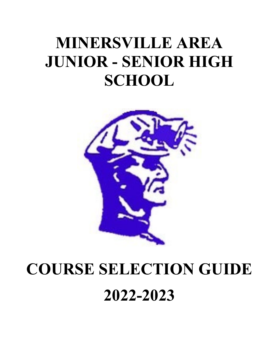# **MINERSVILLE AREA JUNIOR - SENIOR HIGH SCHOOL**



# **COURSE SELECTION GUIDE 2022-2023**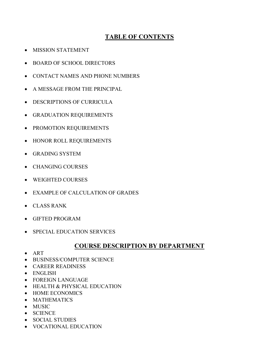# **TABLE OF CONTENTS**

- MISSION STATEMENT
- BOARD OF SCHOOL DIRECTORS
- CONTACT NAMES AND PHONE NUMBERS
- A MESSAGE FROM THE PRINCIPAL
- DESCRIPTIONS OF CURRICULA
- GRADUATION REQUIREMENTS
- PROMOTION REQUIREMENTS
- HONOR ROLL REQUIREMENTS
- GRADING SYSTEM
- CHANGING COURSES
- WEIGHTED COURSES
- EXAMPLE OF CALCULATION OF GRADES
- CLASS RANK
- GIFTED PROGRAM
- SPECIAL EDUCATION SERVICES

# **COURSE DESCRIPTION BY DEPARTMENT**

- ART
- BUSINESS/COMPUTER SCIENCE
- CAREER READINESS
- ENGLISH
- FOREIGN LANGUAGE
- HEALTH & PHYSICAL EDUCATION
- HOME ECONOMICS
- MATHEMATICS
- MUSIC
- SCIENCE
- SOCIAL STUDIES
- VOCATIONAL EDUCATION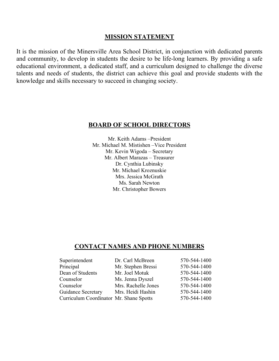## **MISSION STATEMENT**

It is the mission of the Minersville Area School District, in conjunction with dedicated parents and community, to develop in students the desire to be life-long learners. By providing a safe educational environment, a dedicated staff, and a curriculum designed to challenge the diverse talents and needs of students, the district can achieve this goal and provide students with the knowledge and skills necessary to succeed in changing society.

# **BOARD OF SCHOOL DIRECTORS**

Mr. Keith Adams –President Mr. Michael M. Mistishen –Vice President Mr. Kevin Wigoda – Secretary Mr. Albert Marazas – Treasurer Dr. Cynthia Lubinsky Mr. Michael Kroznuskie Mrs. Jessica McGrath Ms. Sarah Newton Mr. Christopher Bowers

# **CONTACT NAMES AND PHONE NUMBERS**

| Superintendent                          | Dr. Carl McBreen    | 570-544-1400 |
|-----------------------------------------|---------------------|--------------|
| Principal                               | Mr. Stephen Bressi  | 570-544-1400 |
| Dean of Students                        | Mr. Joel Motuk      | 570-544-1400 |
| Counselor                               | Ms. Jenna Dyszel    | 570-544-1400 |
| Counselor                               | Mrs. Rachelle Jones | 570-544-1400 |
| <b>Guidance Secretary</b>               | Mrs. Heidi Hashin   | 570-544-1400 |
| Curriculum Coordinator Mr. Shane Spotts |                     | 570-544-1400 |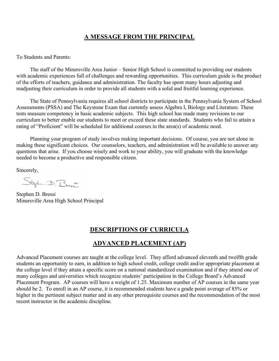# **A MESSAGE FROM THE PRINCIPAL**

To Students and Parents:

 The staff of the Minersville Area Junior – Senior High School is committed to providing our students with academic experiences full of challenges and rewarding opportunities. This curriculum guide is the product of the efforts of teachers, guidance and administration. The faculty has spent many hours adjusting and readjusting their curriculum in order to provide all students with a solid and fruitful learning experience.

 The State of Pennsylvania requires all school districts to participate in the Pennsylvania System of School Assessments (PSSA) and The Keystone Exam that currently assess Algebra I, Biology and Literature. These tests measure competency in basic academic subjects. This high school has made many revisions to our curriculum to better enable our students to meet or exceed these state standards. Students who fail to attain a rating of "Proficient" will be scheduled for additional courses in the area(s) of academic need.

 Planning your program of study involves making important decisions. Of course, you are not alone in making these significant choices. Our counselors, teachers, and administration will be available to answer any questions that arise. If you choose wisely and work to your ability, you will graduate with the knowledge needed to become a productive and responsible citizen.

Sincerely,

Stephen D. Bress

Stephen D. Bressi Minersville Area High School Principal

# **DESCRIPTIONS OF CURRICULA**

# **ADVANCED PLACEMENT (AP)**

Advanced Placement courses are taught at the college level. They afford advanced eleventh and twelfth grade students an opportunity to earn, in addition to high school credit, college credit and/or appropriate placement at the college level if they attain a specific score on a national standardized examination and if they attend one of many colleges and universities which recognize students' participation in the College Board's Advanced Placement Program. AP courses will have a weight of 1.25. Maximum number of AP courses in the same year should be 2. To enroll in an AP course, it is recommended students have a grade point average of 85% or higher in the pertinent subject matter and in any other prerequisite courses and the recommendation of the most recent instructor in the academic discipline.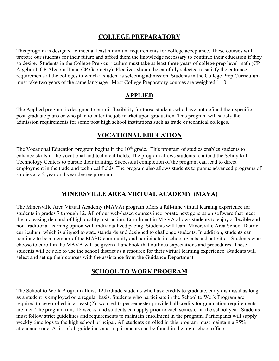# **COLLEGE PREPARATORY**

This program is designed to meet at least minimum requirements for college acceptance. These courses will prepare our students for their future and afford them the knowledge necessary to continue their education if they so desire. Students in the College Prep curriculum must take at least three years of college prep level math (CP Algebra I, CP Algebra II and CP Geometry). Electives should be carefully selected to satisfy the entrance requirements at the colleges to which a student is selecting admission. Students in the College Prep Curriculum must take two years of the same language. Most College Preparatory courses are weighted 1.10.

# **APPLIED**

The Applied program is designed to permit flexibility for those students who have not defined their specific post-graduate plans or who plan to enter the job market upon graduation. This program will satisfy the admission requirements for some post high school institutions such as trade or technical colleges.

# **VOCATIONAL EDUCATION**

The Vocational Education program begins in the  $10<sup>th</sup>$  grade. This program of studies enables students to enhance skills in the vocational and technical fields. The program allows students to attend the Schuylkill Technology Centers to pursue their training. Successful completion of the program can lead to direct employment in the trade and technical fields. The program also allows students to pursue advanced programs of studies at a 2 year or 4 year degree program.

# **MINERSVILLE AREA VIRTUAL ACADEMY (MAVA)**

The Minersville Area Virtual Academy (MAVA) program offers a full-time virtual learning experience for students in grades 7 through 12. All of our web-based courses incorporate next generation software that meet the increasing demand of high quality instruction. Enrollment in MAVA allows students to enjoy a flexible and non-traditional learning option with individualized pacing. Students will learn Minersville Area School District curriculum; which is aligned to state standards and designed to challenge students. In addition, students can continue to be a member of the MASD community and participate in school events and activities. Students who choose to enroll in the MAVA will be given a handbook that outlines expectations and procedures. These students will be able to use the school district as a resource for their virtual learning experience. Students will select and set up their courses with the assistance from the Guidance Department.

# **SCHOOL TO WORK PROGRAM**

The School to Work Program allows 12th Grade students who have credits to graduate, early dismissal as long as a student is employed on a regular basis. Students who participate in the School to Work Program are required to be enrolled in at least (2) two credits per semester provided all credits for graduation requirements are met. The program runs 18 weeks, and students can apply prior to each semester in the school year. Students must follow strict guidelines and requirements to maintain enrollment in the program. Participants will supply weekly time logs to the high school principal. All students enrolled in this program must maintain a 95% attendance rate. A list of all guidelines and requirements can be found in the high school office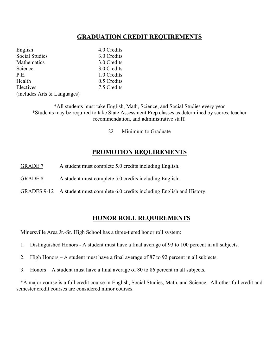# **GRADUATION CREDIT REQUIREMENTS**

| English                     | 4.0 Credits |
|-----------------------------|-------------|
| <b>Social Studies</b>       | 3.0 Credits |
| Mathematics                 | 3.0 Credits |
| Science                     | 3.0 Credits |
| P.E.                        | 1.0 Credits |
| Health                      | 0.5 Credits |
| Electives                   | 7.5 Credits |
| (includes Arts & Languages) |             |

\*All students must take English, Math, Science, and Social Studies every year \*Students may be required to take State Assessment Prep classes as determined by scores, teacher recommendation, and administrative staff.

22 Minimum to Graduate

# **PROMOTION REQUIREMENTS**

- GRADE 7 A student must complete 5.0 credits including English.
- GRADE 8 A student must complete 5.0 credits including English.
- GRADES 9-12 A student must complete 6.0 credits including English and History.

## **HONOR ROLL REQUIREMENTS**

Minersville Area Jr.-Sr. High School has a three-tiered honor roll system:

- 1. Distinguished Honors A student must have a final average of 93 to 100 percent in all subjects.
- 2. High Honors A student must have a final average of 87 to 92 percent in all subjects.
- 3. Honors A student must have a final average of 80 to 86 percent in all subjects.

 \*A major course is a full credit course in English, Social Studies, Math, and Science. All other full credit and semester credit courses are considered minor courses.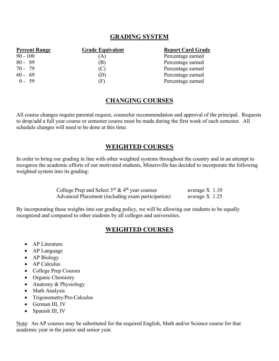# **GRADING SYSTEM**

| <b>Percent Range</b> | <b>Grade Equivalent</b> | <b>Report Card Grade</b> |  |  |
|----------------------|-------------------------|--------------------------|--|--|
| $90 - 100$           | $\left( A\right)$       | Percentage earned        |  |  |
| $80 - 89$            | (B)                     | Percentage earned        |  |  |
| $70 - 79$            | (C)                     | Percentage earned        |  |  |
| $60 - 69$            | (D)                     | Percentage earned        |  |  |
| $0 - 59$             | (F)                     | Percentage earned        |  |  |

# **CHANGING COURSES**

All course changes require parental request, counselor recommendation and approval of the principal. Requests to drop/add a full year course or semester course must be made during the first week of each semester. All schedule changes will need to be done at this time.

# **WEIGHTED COURSES**

In order to bring our grading in line with other weighted systems throughout the country and in an attempt to recognize the academic efforts of our motivated students, Minersville has decided to incorporate the following weighted system into its grading:

| College Prep and Select $3^{rd}$ & $4^{th}$ year courses | average $X$ 1.10 |  |
|----------------------------------------------------------|------------------|--|
| Advanced Placement (including exam participation)        | average $X$ 1.25 |  |

By incorporating these weights into our grading policy, we will be allowing our students to be equally recognized and compared to other students by all colleges and universities.

# **WEIGHTED COURSES**

- AP Literature
- AP Language
- AP Biology
- AP Calculus
- College Prep Courses
- Organic Chemistry
- Anatomy & Physiology
- Math Analysis
- Trigonometry/Pre-Calculus
- German III, IV
- Spanish III, IV

Note: An AP courses may be substituted for the required English, Math and/or Science course for that academic year in the junior and senior year.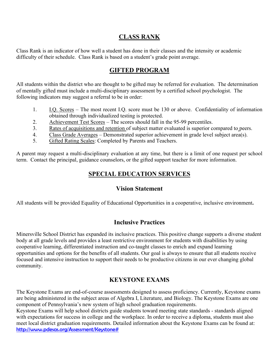# **CLASS RANK**

Class Rank is an indicator of how well a student has done in their classes and the intensity or academic difficulty of their schedule. Class Rank is based on a student's grade point average.

# **GIFTED PROGRAM**

All students within the district who are thought to be gifted may be referred for evaluation. The determination of mentally gifted must include a multi-disciplinary assessment by a certified school psychologist. The following indicators may suggest a referral to be in order:

- 1. I.Q. Scores The most recent I.Q. score must be 130 or above. Confidentiality of information obtained through individualized testing is protected.
- 2. Achievement Test Scores The scores should fall in the 95-99 percentiles.
- 3. Rates of acquisitions and retention of subject matter evaluated is superior compared to peers.
- 4. Class Grade Averages Demonstrated superior achievement in grade level subject area(s).
- 5. Gifted Rating Scales: Completed by Parents and Teachers.

A parent may request a multi-disciplinary evaluation at any time, but there is a limit of one request per school term. Contact the principal, guidance counselors, or the gifted support teacher for more information.

# **SPECIAL EDUCATION SERVICES**

# **Vision Statement**

All students will be provided Equality of Educational Opportunities in a cooperative, inclusive environment**.**

# **Inclusive Practices**

Minersville School District has expanded its inclusive practices. This positive change supports a diverse student body at all grade levels and provides a least restrictive environment for students with disabilities by using cooperative learning, differentiated instruction and co-taught classes to enrich and expand learning opportunities and options for the benefits of all students. Our goal is always to ensure that all students receive focused and intensive instruction to support their needs to be productive citizens in our ever changing global community.

# **KEYSTONE EXAMS**

The Keystone Exams are end-of-course assessments designed to assess proficiency. Currently, Keystone exams are being administered in the subject areas of Algebra I, Literature, and Biology. The Keystone Exams are one component of Pennsylvania's new system of high school graduation requirements.

Keystone Exams will help school districts guide students toward meeting state standards - standards aligned with expectations for success in college and the workplace. In order to receive a diploma, students must also meet local district graduation requirements. Detailed information about the Keystone Exams can be found at: [http://www.pdesas.org/Assessment/Keystone#](http://www.pdesas.org/Assessment/Keystone)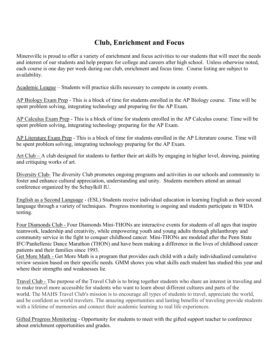# **Club, Enrichment and Focus**

Minersville is proud to offer a variety of enrichment and focus activities to our students that will meet the needs and interest of our students and help prepare for college and careers after high school. Unless otherwise noted, each course is one day per week during our club, enrichment and focus time. Course listing are subject to availability.

Academic League – Students will practice skills necessary to compete in county events.

AP Biology Exam Prep - This is a block of time for students enrolled in the AP Biology course. Time will be spent problem solving, integrating technology and preparing for the AP Exam.

AP Calculus Exam Prep - This is a block of time for students enrolled in the AP Calculus course. Time will be spent problem solving, integrating technology preparing for the AP Exam.

AP Literature Exam Prep - This is a block of time for students enrolled in the AP Literature course. Time will be spent problem solving, integrating technology preparing for the AP Exam.

Art Club – A club designed for students to further their art skills by engaging in higher level, drawing, painting and critiquing works of art.

Diversity Club- The diversity Club promotes ongoing programs and activities in our schools and community to foster and enhance cultural appreciation, understanding and unity. Students members attend an annual conference organized by the Schuylkill IU.

English as a Second Language - (ESL) Students receive individual education in learning English as their second language through a variety of techniques. Progress monitoring is ongoing and students participate in WIDA testing.

Four Diamonds Club - Four Diamonds Mini-THONs are interactive events for students of all ages that inspire teamwork, leadership and creativity, while empowering youth and young adults through philanthropy and community service in the fight to conquer childhood cancer. Mini-THONs are modeled after the Penn State IFC/Panhellenic Dance Marathon (THON) and have been making a difference in the lives of childhood cancer patients and their families since 1993.

Get More Math - Get More Math is a program that provides each child with a daily individualized cumulative review session based on their specific needs. GMM shows you what skills each student has studied this year and where their strengths and weaknesses lie.

Travel Club - The purpose of the Travel Club is to bring together students who share an interest in traveling and to make travel more accessible for students who want to learn about different cultures and parts of the world. The MAHS Travel Club's mission is to encourage all types of students to travel, appreciate the world, and be confident as world travelers. The amazing opportunities and lasting benefits of traveling provide students with a lifetime of memories and connect their academic learning to real life experiences.

Gifted Progress Monitoring - Opportunity for students to meet with the gifted support teacher to conference about enrichment opportunities and grades.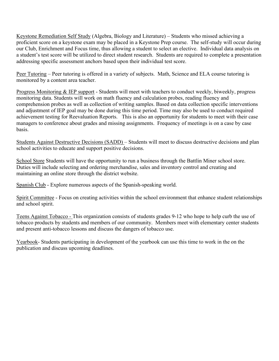Keystone Remediation Self Study (Algebra, Biology and Literature) – Students who missed achieving a proficient score on a keystone exam may be placed in a Keystone Prep course. The self-study will occur during our Club, Enrichment and Focus time, thus allowing a student to select an elective. Individual data analysis on a student's test score will be utilized to direct student research. Students are required to complete a presentation addressing specific assessment anchors based upon their individual test score.

Peer Tutoring – Peer tutoring is offered in a variety of subjects. Math, Science and ELA course tutoring is monitored by a content area teacher.

Progress Monitoring & IEP support - Students will meet with teachers to conduct weekly, biweekly, progress monitoring data. Students will work on math fluency and calculation probes, reading fluency and comprehension probes as well as collection of writing samples. Based on data collection specific interventions and adjustment of IEP goal may be done during this time period. Time may also be used to conduct required achievement testing for Reevaluation Reports. This is also an opportunity for students to meet with their case managers to conference about grades and missing assignments. Frequency of meetings is on a case by case basis.

Students Against Destructive Decisions (SADD) – Students will meet to discuss destructive decisions and plan school activities to educate and support positive decisions.

School Store Students will have the opportunity to run a business through the Battlin Miner school store. Duties will include selecting and ordering merchandise, sales and inventory control and creating and maintaining an online store through the district website.

Spanish Club - Explore numerous aspects of the Spanish-speaking world.

Spirit Committee - Focus on creating activities within the school environment that enhance student relationships and school spirit.

Teens Against Tobacco - This organization consists of students grades 9-12 who hope to help curb the use of tobacco products by students and members of our community. Members meet with elementary center students and present anti-tobacco lessons and discuss the dangers of tobacco use.

Yearbook- Students participating in development of the yearbook can use this time to work in the on the publication and discuss upcoming deadlines.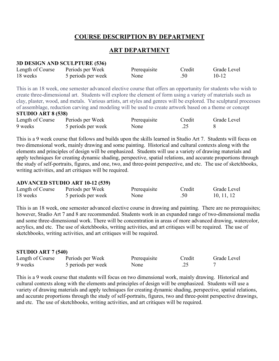# **COURSE DESCRIPTION BY DEPARTMENT**

# **ART DEPARTMENT**

#### **3D DESIGN AND SCULPTURE (536)**

| Length of Course | Periods per Week   | Prerequisite | Credit | Grade Level |
|------------------|--------------------|--------------|--------|-------------|
| 18 weeks         | 5 periods per week | None         | .50    | $10 - 12$   |

This is an 18 week, one semester advanced elective course that offers an opportunity for students who wish to create three-dimensional art. Students will explore the element of form using a variety of materials such as clay, plaster, wood, and metals. Various artists, art styles and genres will be explored. The sculptural processes of assemblage, reduction carving and modeling will be used to create artwork based on a theme or concept

## **STUDIO ART 8 (538)**

| Length of Course | Periods per Week   | Prerequisite | Credit | Grade Level |
|------------------|--------------------|--------------|--------|-------------|
| 9 weeks          | 5 periods per week | None         |        |             |

This is a 9 week course that follows and builds upon the skills learned in Studio Art 7. Students will focus on two dimensional work, mainly drawing and some painting. Historical and cultural contexts along with the elements and principles of design will be emphasized. Students will use a variety of drawing materials and apply techniques for creating dynamic shading, perspective, spatial relations, and accurate proportions through the study of self-portraits, figures, and one, two, and three-point perspective, and etc. The use of sketchbooks, writing activities, and art critiques will be required.

#### **ADVANCED STUDIO ART 10-12 (539)**

| Length of Course | Periods per Week   | Prerequisite | Credit | Grade Level |
|------------------|--------------------|--------------|--------|-------------|
| 18 weeks         | 5 periods per week | None         | .50    | 10, 11, 12  |

This is an 18 week, one semester advanced elective course in drawing and painting. There are no prerequisites; however, Studio Art 7 and 8 are recommended. Students work in an expanded range of two-dimensional media and some three-dimensional work. There will be concentration in areas of more advanced drawing, watercolor, acrylics, and etc. The use of sketchbooks, writing activities, and art critiques will be required. The use of sketchbooks, writing activities, and art critiques will be required.

#### **STUDIO ART 7 (540)**

| Length of Course | Periods per Week   | Prerequisite | Credit | Grade Level |
|------------------|--------------------|--------------|--------|-------------|
| 9 weeks          | 5 periods per week | None         |        |             |

This is a 9 week course that students will focus on two dimensional work, mainly drawing. Historical and cultural contexts along with the elements and principles of design will be emphasized. Students will use a variety of drawing materials and apply techniques for creating dynamic shading, perspective, spatial relations, and accurate proportions through the study of self-portraits, figures, two and three-point perspective drawings, and etc. The use of sketchbooks, writing activities, and art critiques will be required.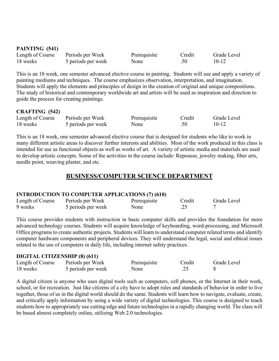| PAINTING (541)   |                    |              |        |             |
|------------------|--------------------|--------------|--------|-------------|
| Length of Course | Periods per Week   | Prerequisite | Credit | Grade Level |
| 18 weeks         | 5 periods per week | None         | .50    | $10 - 12$   |

This is an 18 week, one semester advanced elective course in painting. Students will use and apply a variety of painting mediums and techniques. The course emphasizes observation, interpretation, and imagination. Students will apply the elements and principles of design in the creation of original and unique compositions. The study of historical and contemporary worldwide art and artists will be used as inspiration and direction to guide the process for creating paintings.

## **CRAFTING (542)**

| Length of Course | Periods per Week   | Prerequisite | Credit | Grade Level |
|------------------|--------------------|--------------|--------|-------------|
| 18 weeks         | 5 periods per week | None         | .50    | $10 - 12$   |

This is an 18 week, one semester advanced elective course that is designed for students who like to work in many different artistic areas to discover further interests and abilities. Most of the work produced in this class is intended for use as functional objects as well as works of art. A variety of artistic media and materials are used to develop artistic concepts. Some of the activities in the course include: Repousse, jewelry making, fiber arts, needle point, weaving plaster, and etc.

# **BUSINESS/COMPUTER SCIENCE DEPARTMENT**

#### **INTRODUCTION TO COMPUTER APPLICATIONS (7) (610)**

| Length of Course | Periods per Week   | Prerequisite | Credit | Grade Level |
|------------------|--------------------|--------------|--------|-------------|
| 9 weeks          | 5 periods per week | None         | ے گے ، |             |

This course provides students with instruction in basic computer skills and provides the foundation for more advanced technology courses. Students will acquire knowledge of keyboarding, word-processing, and Microsoft Office programs to create authentic projects. Students will learn to understand computer related terms and identify computer hardware components and peripheral devices. They will understand the legal, social and ethical issues related to the use of computers in daily life, including internet safety practices.

#### **DIGITAL CITIZENSHIP (8) (611)**

| Length of Course | Periods per Week   | Prerequisite | Credit | Grade Level |
|------------------|--------------------|--------------|--------|-------------|
| 18 weeks         | 5 periods per week | None         |        |             |

A digital citizen is anyone who uses digital tools such as computers, cell phones, or the Internet in their work, school, or for recreation. Just like citizens of a city have to adopt rules and standards of behavior in order to live together, those of us in the digital world should do the same. Students will learn how to navigate, evaluate, create, and critically apply information by using a wide variety of digital technologies. This course is designed to teach students how to appropriately use cutting edge and future technologies in a rapidly changing world. The class will be based almost completely online, utilizing Web 2.0 technologies.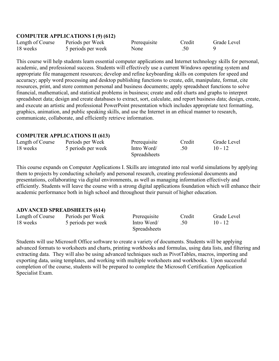## **COMPUTER APPLICATIONS I (9) (612)**

| Length of Course | Periods per Week   | Prerequisite | Credit | Grade Level |
|------------------|--------------------|--------------|--------|-------------|
| 18 weeks         | 5 periods per week | None         |        |             |

This course will help students learn essential computer applications and Internet technology skills for personal, academic, and professional success. Students will effectively use a current Windows operating system and appropriate file management resources; develop and refine keyboarding skills on computers for speed and accuracy; apply word processing and desktop publishing functions to create, edit, manipulate, format, cite resources, print, and store common personal and business documents; apply spreadsheet functions to solve financial, mathematical, and statistical problems in business; create and edit charts and graphs to interpret spreadsheet data; design and create databases to extract, sort, calculate, and report business data; design, create, and execute an artistic and professional PowerPoint presentation which includes appropriate text formatting, graphics, animation, and public speaking skills, and use the Internet in an ethical manner to research, communicate, collaborate, and efficiently retrieve information.

#### **COMPUTER APPLICATIONS II (613)**

| Length of Course | Periods per Week   | Prerequisite        | Credit | Grade Level |
|------------------|--------------------|---------------------|--------|-------------|
| 18 weeks         | 5 periods per week | Intro Word/         | .50    | $10 - 12$   |
|                  |                    | <b>Spreadsheets</b> |        |             |

This course expands on Computer Applications I. Skills are integrated into real world simulations by applying them to projects by conducting scholarly and personal research, creating professional documents and presentations, collaborating via digital environments, as well as managing information effectively and efficiently. Students will leave the course with a strong digital applications foundation which will enhance their academic performance both in high school and throughout their pursuit of higher education.

#### **ADVANCED SPREADSHEETS (614)**

| Length of Course | Periods per Week | Prerequisite        | Credit      | Grade Level |           |
|------------------|------------------|---------------------|-------------|-------------|-----------|
| 18 weeks         |                  | 5 periods per week  | Intro Word/ | .50         | $10 - 12$ |
|                  |                  | <b>Spreadsheets</b> |             |             |           |

Students will use Microsoft Office software to create a variety of documents. Students will be applying advanced formats to worksheets and charts, printing workbooks and formulas, using data lists, and filtering and extracting data. They will also be using advanced techniques such as PivotTables, macros, importing and exporting data, using templates, and working with multiple worksheets and workbooks. Upon successful completion of the course, students will be prepared to complete the Microsoft Certification Application Specialist Exam.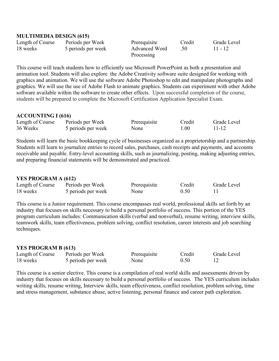#### **MULTIMEDIA DESIGN (615)**

| Length of Course | Periods per Week | Prerequisite       | Credit        | Grade Level |           |
|------------------|------------------|--------------------|---------------|-------------|-----------|
| 18 weeks         |                  | 5 periods per week | Advanced Word |             | $11 - 12$ |
|                  |                  | Processing         |               |             |           |

This course will teach students how to efficiently use Microsoft PowerPoint as both a presentation and animation tool. Students will also explore the Adobe Creativity software suite designed for working with graphics and animation. We will use the software Adobe Photoshop to edit and manipulate photographs and graphics. We will use the use of Adobe Flash to animate graphics. Students can experiment with other Adobe software available within the software to create other effects. Upon successful completion of the course, students will be prepared to complete the Microsoft Certification Application Specialist Exam.

## **ACCOUNTING I (616)**

| Length of Course | Periods per Week   | Prerequisite | Credit | Grade Level |
|------------------|--------------------|--------------|--------|-------------|
| 36 Weeks         | 5 periods per week | None         | L.OO   | 11-12       |

Students will learn the basic bookkeeping cycle of businesses organized as a proprietorship and a partnership. Students will learn to journalize entries to record sales, purchases, cash receipts and payments, and accounts receivable and payable. Entry-level accounting skills, such as journalizing, posting, making adjusting entries, and preparing financial statements will be demonstrated and practiced.

## **YES PROGRAM A (612)**

| Length of Course | Periods per Week   | Prerequisite | Credit | Grade Level |
|------------------|--------------------|--------------|--------|-------------|
| 18 weeks         | 5 periods per week | None         | 0.50   |             |

This course is a Junior requirement. This course encompasses real world, professional skills set forth by an industry that focuses on skills necessary to build a personal portfolio of success. This portion of the YES program curriculum includes: Communication skills (verbal and nonverbal), resume writing, interview skills, teamwork skills, team effectiveness, problem solving, conflict resolution, career interests and job searching techniques.

## **YES PROGRAM B (613)**

| Length of Course | Periods per Week   | Prerequisite | Credit | Grade Level |
|------------------|--------------------|--------------|--------|-------------|
| 18 weeks         | 5 periods per week | None         | 0.50   |             |

This course is a senior elective. This course is a compilation of real world skills and assessments driven by industry that focuses on skills necessary to build a personal portfolio of success. The YES curriculum includes writing skills, resume writing, Interview skills, team effectiveness, conflict resolution, problem solving, time and stress management, substance abuse, active listening, personal finance and career path exploration.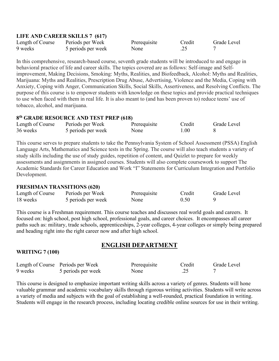## **LIFE AND CAREER SKILLS 7 (617)**

| Length of Course | Periods per Week   | Prerequisite | Credit | Grade Level |
|------------------|--------------------|--------------|--------|-------------|
| 9 weeks          | 5 periods per week | None         | ر . گ  |             |

In this comprehensive, research-based course, seventh grade students will be introduced to and engage in behavioral practice of life and career skills. The topics covered are as follows: Self-image and Selfimprovement, Making Decisions, Smoking: Myths, Realities, and Biofeedback, Alcohol: Myths and Realities, Marijuana: Myths and Realities, Prescription Drug Abuse, Advertising, Violence and the Media, Coping with Anxiety, Coping with Anger, Communication Skills, Social Skills, Assertiveness, and Resolving Conflicts. The purpose of this course is to empower students with knowledge on these topics and provide practical techniques to use when faced with them in real life. It is also meant to (and has been proven to) reduce teens' use of tobacco, alcohol, and marijuana.

# **8th GRADE RESOURCE AND TEST PREP (618)**

| Length of Course | Periods per Week   | Prerequisite | Credit | Grade Level |
|------------------|--------------------|--------------|--------|-------------|
| 36 weeks         | 5 periods per week | None         | 1.00   |             |

This course serves to prepare students to take the Pennsylvania System of School Assessment (PSSA) English Language Arts, Mathematics and Science tests in the Spring. The course will also teach students a variety of study skills including the use of study guides, repetition of content, and Quizlet to prepare for weekly assessments and assignments in assigned courses. Students will also complete coursework to support The Academic Standards for Career Education and Work "I" Statements for Curriculum Integration and Portfolio Development.

## **FRESHMAN TRANSITIONS (620)**

| Length of Course | Periods per Week   | Prerequisite | Credit | Grade Level |
|------------------|--------------------|--------------|--------|-------------|
| 18 weeks         | 5 periods per week | None         | 0.50   |             |

This course is a Freshman requirement. This course teaches and discusses real world goals and careers. It focused on: high school, post high school, professional goals, and career choices. It encompasses all career paths such as: military, trade schools, apprenticeships, 2-year colleges, 4-year colleges or simply being prepared and heading right into the right career now and after high school.

# **ENGLISH DEPARTMENT**

## **WRITING 7 (100)**

|         | Length of Course Periods per Week | Prerequisite | Credit | Grade Level |
|---------|-----------------------------------|--------------|--------|-------------|
| 9 weeks | 5 periods per week                | None         |        |             |

This course is designed to emphasize important writing skills across a variety of genres. Students will hone valuable grammar and academic vocabulary skills through rigorous writing activities. Students will write across a variety of media and subjects with the goal of establishing a well-rounded, practical foundation in writing. Students will engage in the research process, including locating credible online sources for use in their writing.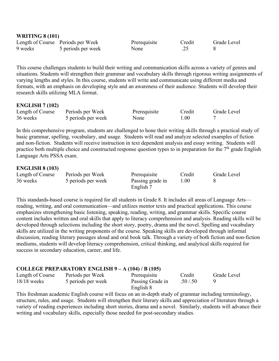| <b>WRITING 8 (101)</b> |                                   |              |        |             |  |
|------------------------|-----------------------------------|--------------|--------|-------------|--|
|                        | Length of Course Periods per Week | Prerequisite | Credit | Grade Level |  |
| 9 weeks                | 5 periods per week                | None         | د.     |             |  |

This course challenges students to build their writing and communication skills across a variety of genres and situations. Students will strengthen their grammar and vocabulary skills through rigorous writing assignments of varying lengths and styles. In this course, students will write and communicate using different media and formats, with an emphasis on developing style and an awareness of their audience. Students will develop their research skills utilizing MLA format.

## **ENGLISH 7 (102)**

**WRITING 8 (101)**

| Length of Course | Periods per Week   | Prerequisite | Credit | Grade Level |
|------------------|--------------------|--------------|--------|-------------|
| 36 weeks         | 5 periods per week | None         | 0.00   |             |

In this comprehensive program, students are challenged to hone their writing skills through a practical study of basic grammar, spelling, vocabulary, and usage. Students will read and analyze selected examples of fiction and non-fiction. Students will receive instruction in text dependent analysis and essay writing. Students will practice both multiple choice and constructed response question types to in preparation for the 7<sup>th</sup> grade English Language Arts PSSA exam.

## **ENGLISH 8 (103)**

| Length of Course | Periods per Week   | Prerequisite     | Credit | Grade Level |
|------------------|--------------------|------------------|--------|-------------|
| 36 weeks         | 5 periods per week | Passing grade in | 1.00   |             |
|                  |                    | English 7        |        |             |

This standards-based course is required for all students in Grade 8. It includes all areas of Language Arts reading, writing, and oral communication—and utilizes mentor texts and practical applications. This course emphasizes strengthening basic listening, speaking, reading, writing, and grammar skills. Specific course content includes written and oral skills that apply to literacy comprehension and analysis. Reading skills will be developed through selections including the short story, poetry, drama and the novel. Spelling and vocabulary skills are utilized in the writing proponents of the course. Speaking skills are developed through informal discussion, reading literary passages aloud and oral book talk. Through a variety of both fiction and non-fiction mediums, students will develop literacy comprehension, critical thinking, and analytical skills required for success in secondary education, career, and life.

## **COLLEGE PREPARATORY ENGLISH 9 – A (104) / B (105)**

| Length of Course | Periods per Week   | Prerequisite     | Credit    | Grade Level |
|------------------|--------------------|------------------|-----------|-------------|
| $18/18$ weeks    | 5 periods per week | Passing Grade in | .50 / .50 |             |
|                  |                    | English 8        |           |             |

This freshman academic English course will focus on an in-depth study of grammar including terminology, structure, rules, and usage. Students will strengthen their literary skills and appreciation of literature through a variety of reading experiences including short stories, drama and a novel. Similarly, students will advance their writing and vocabulary skills, especially those needed for post-secondary studies.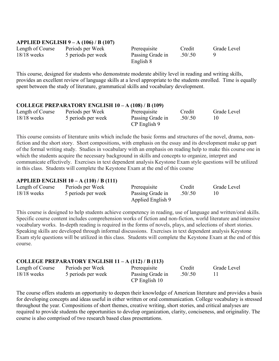## **APPLIED ENGLISH 9 – A (106) / B (107)**

| Length of Course | Periods per Week   | Prerequisite                  | Credit  | Grade Level |
|------------------|--------------------|-------------------------------|---------|-------------|
| $18/18$ weeks    | 5 periods per week | Passing Grade in<br>English 8 | .50/.50 |             |
|                  |                    |                               |         |             |

This course, designed for students who demonstrate moderate ability level in reading and writing skills, provides an excellent review of language skills at a level appropriate to the students enrolled. Time is equally spent between the study of literature, grammatical skills and vocabulary development.

#### **COLLEGE PREPARATORY ENGLISH 10 – A (108) / B (109)**

| Length of Course | Periods per Week | Prerequisite       | Credit           | Grade Level |  |
|------------------|------------------|--------------------|------------------|-------------|--|
| $18/18$ weeks    |                  | 5 periods per week | Passing Grade in | .50/0.50    |  |
|                  |                  | CP English 9       |                  |             |  |

This course consists of literature units which include the basic forms and structures of the novel, drama, nonfiction and the short story. Short compositions, with emphasis on the essay and its development make up part of the formal writing study. Studies in vocabulary with an emphasis on reading help to make this course one in which the students acquire the necessary background in skills and concepts to organize, interpret and communicate effectively. Exercises in text dependent analysis Keystone Exam style questions will be utilized in this class. Students will complete the Keystone Exam at the end of this course

## **APPLIED ENGLISH 10 – A (110) / B (111)**

| Length of Course | Periods per Week   | Prerequisite      | Credit  | Grade Level |
|------------------|--------------------|-------------------|---------|-------------|
| $18/18$ weeks    | 5 periods per week | Passing Grade in  | .50/.50 | 10          |
|                  |                    | Applied English 9 |         |             |

This course is designed to help students achieve competency in reading, use of language and written/oral skills. Specific course content includes comprehension works of fiction and non-fiction, world literature and intensive vocabulary works. In-depth reading is required in the forms of novels, plays, and selections of short stories. Speaking skills are developed through informal discussions. Exercises in text dependent analysis Keystone Exam style questions will be utilized in this class. Students will complete the Keystone Exam at the end of this course.

# **COLLEGE PREPARATORY ENGLISH 11 – A (112) / B (113)**

| Length of Course | Periods per Week   | Prerequisite     | Credit   | Grade Level |
|------------------|--------------------|------------------|----------|-------------|
| $18/18$ weeks    | 5 periods per week | Passing Grade in | .50/0.50 |             |
|                  |                    | CP English 10    |          |             |

The course offers students an opportunity to deepen their knowledge of American literature and provides a basis for developing concepts and ideas useful in either written or oral communication. College vocabulary is stressed throughout the year. Compositions of short themes, creative writing, short stories, and critical analyses are required to provide students the opportunities to develop organization, clarity, conciseness, and originality. The course is also comprised of two research based class presentations.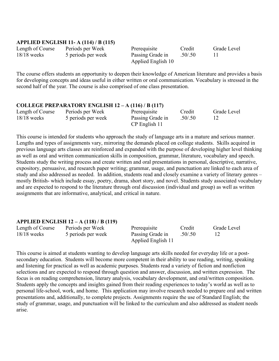## **APPLIED ENGLISH 11- A (114) / B (115)**

Length of Course Periods per Week Prerequisite Credit Grade Level 18/18 weeks 5 periods per week Passing Grade in .50/.50 11

Applied English 10

The course offers students an opportunity to deepen their knowledge of American literature and provides a basis for developing concepts and ideas useful in either written or oral communication. Vocabulary is stressed in the second half of the year. The course is also comprised of one class presentation.

#### **COLLEGE PREPARATORY ENGLISH 12 – A (116) / B (117)**

| Length of Course | Periods per Week   | Prerequisite     | Credit   | Grade Level |
|------------------|--------------------|------------------|----------|-------------|
| $18/18$ weeks    | 5 periods per week | Passing Grade in | .50/0.50 |             |
|                  |                    | CP English 11    |          |             |

This course is intended for students who approach the study of language arts in a mature and serious manner. Lengths and types of assignments vary, mirroring the demands placed on college students. Skills acquired in previous language arts classes are reinforced and expanded with the purpose of developing higher level thinking as well as oral and written communication skills in composition, grammar, literature, vocabulary and speech. Students study the writing process and create written and oral presentations in personal, descriptive, narrative, expository, persuasive, and research paper writing; grammar, usage, and punctuation are linked to each area of study and also addressed as needed. In addition, students read and closely examine a variety of literary genres – mostly British- which include essay, poetry, drama, short story, and novel. Students study associated vocabulary and are expected to respond to the literature through oral discussion (individual and group) as well as written assignments that are informative, analytical, and critical in nature.

#### **APPLIED ENGLISH 12 – A (118) / B (119)**

| Length of Course | Periods per Week   | Prerequisite       | Credit   | Grade Level |
|------------------|--------------------|--------------------|----------|-------------|
| $18/18$ weeks    | 5 periods per week | Passing Grade in   | .50/0.50 |             |
|                  |                    | Applied English 11 |          |             |

This course is aimed at students wanting to develop language arts skills needed for everyday life or a postsecondary education. Students will become more competent in their ability to use reading, writing, speaking and listening for practical as well as academic purposes. Students read a variety of fiction and nonfiction selections and are expected to respond through question and answer, discussion, and written expression. The focus is on reading comprehension, literary analysis, vocabulary development, and oral/written composition. Students apply the concepts and insights gained from their reading experiences to today's world as well as to personal life-school, work, and home. This application may involve research needed to prepare oral and written presentations and, additionally, to complete projects. Assignments require the use of Standard English; the study of grammar, usage, and punctuation will be linked to the curriculum and also addressed as student needs arise.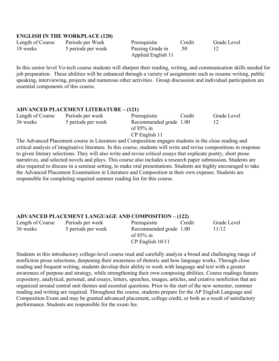## **ENGLISH IN THE WORKPLACE (120)**

| Length of Course | Periods per Week   | Prerequisite       | Credit | Grade Level |
|------------------|--------------------|--------------------|--------|-------------|
| 18 weeks         | 5 periods per week | Passing Grade in   |        |             |
|                  |                    | Applied English 11 |        |             |

In this senior level Vo-tech course students will sharpen their reading, writing, and communication skills needed for job preparation. These abilities will be enhanced through a variety of assignments such as resume writing, public speaking, interviewing, projects and numerous other activities. Group discussion and individual participation are essential components of this course.

# **ADVANCED PLACEMENT LITERATURE – (121)**

| Length of Course | Periods per week   | Prerequisite                                            | Credit | Grade Level |
|------------------|--------------------|---------------------------------------------------------|--------|-------------|
| 36 weeks         | 5 periods per week | Recommended grade 1.00<br>of $85\%$ in<br>CP English 11 |        |             |

The Advanced Placement course in Literature and Composition engages students in the close reading and critical analysis of imaginative literature. In this course, students will write and revise compositions in response to given literary selections. They will also write and revise critical essays that explicate poetry, short prose narratives, and selected novels and plays. This course also includes a research paper submission. Students are also required to discuss in a seminar setting, to make oral presentations. Students are highly encouraged to take the Advanced Placement Examination in Literature and Composition at their own expense. Students are responsible for completing required summer reading list for this course.

## **ADVANCED PLACEMENT LANGUAGE AND COMPOSITION – (122)**

| Length of Course | Periods per week   | Prerequisite           | Credit | Grade Level |
|------------------|--------------------|------------------------|--------|-------------|
| 36 weeks         | 5 periods per week | Recommended grade 1.00 |        | 11/12       |
|                  |                    | of $85\%$ in           |        |             |
|                  |                    | $CP$ English $10/11$   |        |             |

Students in this introductory college-level course read and carefully analyze a broad and challenging range of nonfiction prose selections, deepening their awareness of rhetoric and how language works. Through close reading and frequent writing, students develop their ability to work with language and text with a greater awareness of purpose and strategy, while strengthening their own composing abilities. Course readings feature expository, analytical, personal, and essays, letters, speeches, images, articles, and creative nonfiction that are organized around central unit themes and essential questions. Prior to the start of the new semester, summer reading and writing are required. Throughout the course, students prepare for the AP English Language and Composition Exam and may be granted advanced placement, college credit, or both as a result of satisfactory performance. Students are responsible for the exam fee.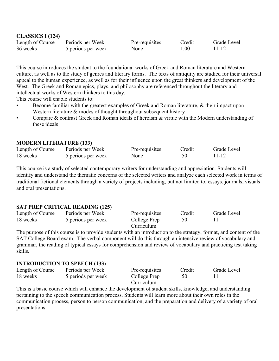| Length of Course | Periods per Week   | Pre-requisites | Credit   | Grade Level |
|------------------|--------------------|----------------|----------|-------------|
| 36 weeks         | 5 periods per week | None           | $1.00\,$ | 11-12       |

This course introduces the student to the foundational works of Greek and Roman literature and Western culture, as well as to the study of genres and literary forms. The texts of antiquity are studied for their universal appeal to the human experience, as well as for their influence upon the great thinkers and development of the West. The Greek and Roman epics, plays, and philosophy are referenced throughout the literary and intellectual works of Western thinkers to this day.

This course will enable students to:

- Become familiar with the greatest examples of Greek and Roman literature, & their impact upon Western literature & modes of thought throughout subsequent history
- Compare & contrast Greek and Roman ideals of heroism & virtue with the Modern understanding of these ideals

#### **MODERN LITERATURE (133)**

| Length of Course | Periods per Week   | Pre-requisites | Credit | Grade Level |
|------------------|--------------------|----------------|--------|-------------|
| 18 weeks         | 5 periods per week | None           | .50    | 11-12       |

This course is a study of selected contemporary writers for understanding and appreciation. Students will identify and understand the thematic concerns of the selected writers and analyze each selected work in terms of traditional fictional elements through a variety of projects including, but not limited to, essays, journals, visuals and oral presentations.

#### **SAT PREP CRITICAL READING (125)**

| Length of Course | Periods per Week   | Pre-requisites | Credit | Grade Level |
|------------------|--------------------|----------------|--------|-------------|
| 18 weeks         | 5 periods per week | College Prep   |        |             |
|                  |                    | Curriculum     |        |             |

The purpose of this course is to provide students with an introduction to the strategy, format, and content of the SAT College Board exam. The verbal component will do this through an intensive review of vocabulary and grammar, the reading of typical essays for comprehension and review of vocabulary and practicing test taking skills.

#### **INTRODUCTION TO SPEECH (133)**

| Length of Course | Periods per Week   | Pre-requisites | Credit | Grade Level |
|------------------|--------------------|----------------|--------|-------------|
| 18 weeks         | 5 periods per week | College Prep   |        |             |
|                  |                    | Curriculum     |        |             |

This is a basic course which will enhance the development of student skills, knowledge, and understanding pertaining to the speech communication process. Students will learn more about their own roles in the communication process, person to person communication, and the preparation and delivery of a variety of oral presentations.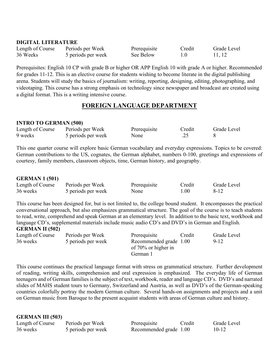## **DIGITAL LITERATURE**

| Length of Course | Periods per Week   | Prerequisite | Credit | Grade Level |
|------------------|--------------------|--------------|--------|-------------|
| 36 Weeks         | 5 periods per week | See Below    |        | 11, 12      |

Prerequisites: English 10 CP with grade B or higher OR APP English 10 with grade A or higher. Recommended for grades 11-12. This is an elective course for students wishing to become literate in the digital publishing arena. Students will study the basics of journalism: writing, reporting, designing, editing, photographing, and videotaping. This course has a strong emphasis on technology since newspaper and broadcast are created using a digital format. This is a writing intensive course.

# **FOREIGN LANGUAGE DEPARTMENT**

## **INTRO TO GERMAN (500)**

| Length of Course | Periods per Week   | Prerequisite | Credit | Grade Level |
|------------------|--------------------|--------------|--------|-------------|
| 9 weeks          | 5 periods per week | None         |        |             |

This one quarter course will explore basic German vocabulary and everyday expressions. Topics to be covered: German contributions to the US, cognates, the German alphabet, numbers 0-100, greetings and expressions of courtesy, family members, classroom objects, time, German history, and geography.

## **GERMAN 1 (501)**

| Length of Course | Periods per Week   | Prerequisite | Credit | Grade Level |
|------------------|--------------------|--------------|--------|-------------|
| 36 weeks         | 5 periods per week | None         | 1.00   | 8-12        |

This course has been designed for, but is not limited to, the college bound student. It encompasses the practical conversational approach, but also emphasizes grammatical structure. The goal of the course is to teach students to read, write, comprehend and speak German at an elementary level. In addition to the basic text, workbook and language CD's, supplemental materials include music audio CD's and DVD's in German and English.

#### **GERMAN II (502)**

| Length of Course | Periods per Week   | Prerequisite           | Credit | Grade Level |
|------------------|--------------------|------------------------|--------|-------------|
| 36 weeks         | 5 periods per week | Recommended grade 1.00 |        | $9-12$      |
|                  |                    | of $70\%$ or higher in |        |             |
|                  |                    | German)                |        |             |

This course continues the practical language format with stress on grammatical structure. Further development of reading, writing skills, comprehension and oral expression is emphasized. The everyday life of German teenagers and of German families is the subject of text, workbook, reader and language CD's. DVD's and narrated slides of MAHS student tours to Germany, Switzerland and Austria, as well as DVD's of the German-speaking countries colorfully portray the modern German culture. Several hands-on assignments and projects and a unit on German music from Baroque to the present acquaint students with areas of German culture and history.

#### **GERMAN III (503)**

| Length of Course | Periods per Week   | Prerequisite           | Credit | Grade Level |
|------------------|--------------------|------------------------|--------|-------------|
| 36 weeks         | 5 periods per week | Recommended grade 1.00 |        | 10-12       |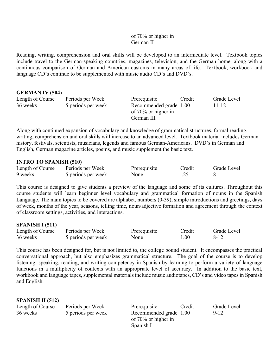## of 70% or higher in German II

Reading, writing, comprehension and oral skills will be developed to an intermediate level. Textbook topics include travel to the German-speaking countries, magazines, television, and the German home, along with a continuous comparison of German and American customs in many areas of life. Textbook, workbook and language CD's continue to be supplemented with music audio CD's and DVD's.

#### **GERMAN IV (504)**

| Length of Course<br>36 weeks | Periods per Week<br>5 periods per week | Prerequisite<br>Recommended grade 1.00 | Credit | Grade Level<br>11-12 |
|------------------------------|----------------------------------------|----------------------------------------|--------|----------------------|
|                              |                                        | of $70\%$ or higher in                 |        |                      |
|                              |                                        | German III                             |        |                      |

Along with continued expansion of vocabulary and knowledge of grammatical structures, formal reading, writing, comprehension and oral skills will increase to an advanced level. Textbook material includes German history, festivals, scientists, musicians, legends and famous German-Americans. DVD's in German and English, German magazine articles, poems, and music supplement the basic text.

## **INTRO TO SPANISH (510)**

| Length of Course | Periods per Week   | Prerequisite | Credit | Grade Level |
|------------------|--------------------|--------------|--------|-------------|
| 9 weeks          | 5 periods per week | None         |        |             |

This course is designed to give students a preview of the language and some of its cultures. Throughout this course students will learn beginner level vocabulary and grammatical formation of nouns in the Spanish Language. The main topics to be covered are alphabet, numbers (0-39), simple introductions and greetings, days of week, months of the year, seasons, telling time, noun/adjective formation and agreement through the context of classroom settings, activities, and interactions.

#### **SPANISH I (511)**

| Length of Course | Periods per Week   | Prerequisite | Credit | Grade Level |
|------------------|--------------------|--------------|--------|-------------|
| 36 weeks         | 5 periods per week | None         | 1.00   | 8-12        |

This course has been designed for, but is not limited to, the college bound student. It encompasses the practical conversational approach, but also emphasizes grammatical structure. The goal of the course is to develop listening, speaking, reading, and writing competency in Spanish by learning to perform a variety of language functions in a multiplicity of contexts with an appropriate level of accuracy. In addition to the basic text, workbook and language tapes, supplemental materials include music audiotapes, CD's and video tapes in Spanish and English.

| <b>SPANISH II (512)</b> |                    |                                               |        |             |
|-------------------------|--------------------|-----------------------------------------------|--------|-------------|
| Length of Course        | Periods per Week   | Prerequisite                                  | Credit | Grade Level |
| 36 weeks                | 5 periods per week | Recommended grade 1.00<br>of 70% or higher in |        | 9-12        |
|                         |                    | Spanish I                                     |        |             |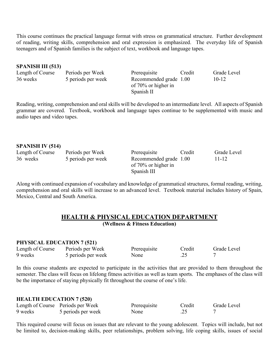This course continues the practical language format with stress on grammatical structure. Further development of reading, writing skills, comprehension and oral expression is emphasized. The everyday life of Spanish teenagers and of Spanish families is the subject of text, workbook and language tapes.

#### **SPANISH III (513)**

| Length of Course | Periods per Week   | Prerequisite           | Credit | Grade Level |
|------------------|--------------------|------------------------|--------|-------------|
| 36 weeks         | 5 periods per week | Recommended grade 1.00 |        | $10 - 12$   |
|                  |                    | of $70\%$ or higher in |        |             |
|                  |                    | Spanish II             |        |             |

Reading, writing, comprehension and oral skills will be developed to an intermediate level. All aspects of Spanish grammar are covered. Textbook, workbook and language tapes continue to be supplemented with music and audio tapes and video tapes.

# **SPANISH IV (514)**

| Length of Course | Periods per Week   | Prerequisite           | Credit | Grade Level |
|------------------|--------------------|------------------------|--------|-------------|
| 36 weeks         | 5 periods per week | Recommended grade 1.00 |        | 11-12       |
|                  |                    | of 70% or higher in    |        |             |
|                  |                    | Spanish III            |        |             |

Along with continued expansion of vocabulary and knowledge of grammatical structures, formal reading, writing, comprehension and oral skills will increase to an advanced level. Textbook material includes history of Spain, Mexico, Central and South America.

#### **HEALTH & PHYSICAL EDUCATION DEPARTMENT (Wellness & Fitness Education)**

#### **PHYSICAL EDUCATION 7 (521)**

| Length of Course | Periods per Week   | Prerequisite | Credit | Grade Level |
|------------------|--------------------|--------------|--------|-------------|
| 9 weeks          | 5 periods per week | None         | ے گے ، |             |

In this course students are expected to participate in the activities that are provided to them throughout the semester. The class will focus on lifelong fitness activities as well as team sports. The emphases of the class will be the importance of staying physically fit throughout the course of one's life.

#### **HEALTH EDUCATION 7 (520)**

|         | Length of Course Periods per Week | Prerequisite | Credit | Grade Level |
|---------|-----------------------------------|--------------|--------|-------------|
| 9 weeks | 5 periods per week                | None         | ۔ ت    |             |

This required course will focus on issues that are relevant to the young adolescent. Topics will include, but not be limited to, decision-making skills, peer relationships, problem solving, life coping skills, issues of social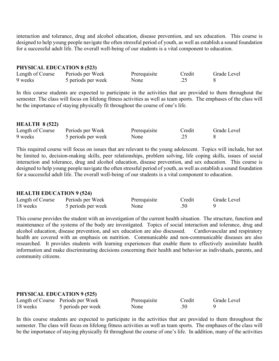interaction and tolerance, drug and alcohol education, disease prevention, and sex education. This course is designed to help young people navigate the often stressful period of youth, as well as establish a sound foundation for a successful adult life. The overall well-being of our students is a vital component to education.

#### **PHYSICAL EDUCATION 8 (523)**

| Length of Course | Periods per Week   | Prerequisite | Credit | Grade Level |
|------------------|--------------------|--------------|--------|-------------|
| 9 weeks          | 5 periods per week | None         |        |             |

In this course students are expected to participate in the activities that are provided to them throughout the semester. The class will focus on lifelong fitness activities as well as team sports. The emphases of the class will be the importance of staying physically fit throughout the course of one's life.

## **HEALTH 8 (522)**

| Length of Course | Periods per Week   | Prerequisite | Credit | Grade Level |
|------------------|--------------------|--------------|--------|-------------|
| 9 weeks          | 5 periods per week | None         |        |             |

This required course will focus on issues that are relevant to the young adolescent. Topics will include, but not be limited to, decision-making skills, peer relationships, problem solving, life coping skills, issues of social interaction and tolerance, drug and alcohol education, disease prevention, and sex education. This course is designed to help young people navigate the often stressful period of youth, as well as establish a sound foundation for a successful adult life. The overall well-being of our students is a vital component to education.

## **HEALTH EDUCATION 9 (524)**

| Length of Course | Periods per Week   | Prerequisite | Credit | Grade Level |
|------------------|--------------------|--------------|--------|-------------|
| 18 weeks         | 5 periods per week | None         |        |             |

This course provides the student with an investigation of the current health situation. The structure, function and maintenance of the systems of the body are investigated. Topics of social interaction and tolerance, drug and alcohol education, disease prevention, and sex education are also discussed. Cardiovascular and respiratory alcohol education, disease prevention, and sex education are also discussed. health are covered with an emphasis on nutrition. Communicable and non-communicable diseases are also researched. It provides students with learning experiences that enable them to effectively assimilate health information and make discriminating decisions concerning their health and behavior as individuals, parents, and community citizens.

## **PHYSICAL EDUCATION 9 (525)**

|          | Length of Course Periods per Week | Prerequisite | Credit | Grade Level |
|----------|-----------------------------------|--------------|--------|-------------|
| 18 weeks | 5 periods per week                | None         |        |             |

In this course students are expected to participate in the activities that are provided to them throughout the semester. The class will focus on lifelong fitness activities as well as team sports. The emphases of the class will be the importance of staying physically fit throughout the course of one's life. In addition, many of the activities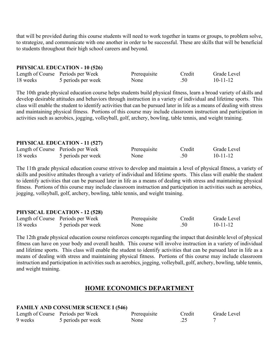that will be provided during this course students will need to work together in teams or groups, to problem solve, to strategize, and communicate with one another in order to be successful. These are skills that will be beneficial to students throughout their high school careers and beyond.

#### **PHYSICAL EDUCATION - 10 (526)**

|          | Length of Course Periods per Week | Prerequisite | Credit           | Grade Level    |
|----------|-----------------------------------|--------------|------------------|----------------|
| 18 weeks | 5 periods per week                | None         | .50 <sub>1</sub> | $10 - 11 - 12$ |

The 10th grade physical education course helps students build physical fitness, learn a broad variety of skills and develop desirable attitudes and behaviors through instruction in a variety of individual and lifetime sports. This class will enable the student to identify activities that can be pursued later in life as a means of dealing with stress and maintaining physical fitness. Portions of this course may include classroom instruction and participation in activities such as aerobics, jogging, volleyball, golf, archery, bowling, table tennis, and weight training.

#### **PHYSICAL EDUCATION - 11 (527)**

|          | Length of Course Periods per Week | Prerequisite | Credit | Grade Level    |
|----------|-----------------------------------|--------------|--------|----------------|
| 18 weeks | 5 periods per week                | None         | .50    | $10 - 11 - 12$ |

The 11th grade physical education course strives to develop and maintain a level of physical fitness, a variety of skills and positive attitudes through a variety of individual and lifetime sports. This class will enable the student to identify activities that can be pursued later in life as a means of dealing with stress and maintaining physical fitness. Portions of this course may include classroom instruction and participation in activities such as aerobics, jogging, volleyball, golf, archery, bowling, table tennis, and weight training.

#### **PHYSICAL EDUCATION - 12 (528)**

|          | Length of Course Periods per Week | Prerequisite | Credit | Grade Level |
|----------|-----------------------------------|--------------|--------|-------------|
| 18 weeks | 5 periods per week                | None         | .50    | $10-11-12$  |

The 12th grade physical education course reinforces concepts regarding the impact that desirable level of physical fitness can have on your body and overall health. This course will involve instruction in a variety of individual and lifetime sports. This class will enable the student to identify activities that can be pursued later in life as a means of dealing with stress and maintaining physical fitness. Portions of this course may include classroom instruction and participation in activities such as aerobics, jogging, volleyball, golf, archery, bowling, table tennis, and weight training.

# **HOME ECONOMICS DEPARTMENT**

#### **FAMILY AND CONSUMER SCIENCE I (546)**

|         | Length of Course Periods per Week | Prerequisite | Credit | Grade Level |
|---------|-----------------------------------|--------------|--------|-------------|
| 9 weeks | 5 periods per week                | None         | ے بے ، |             |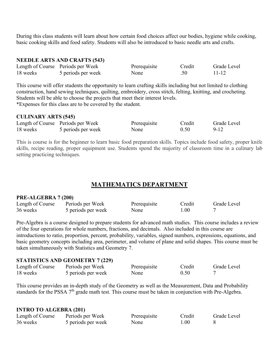During this class students will learn about how certain food choices affect our bodies, hygiene while cooking, basic cooking skills and food safety. Students will also be introduced to basic needle arts and crafts.

#### **NEEDLE ARTS AND CRAFTS (543)**

|          | Length of Course Periods per Week | Prerequisite | Credit  | Grade Level |
|----------|-----------------------------------|--------------|---------|-------------|
| 18 weeks | 5 periods per week                | None         | $.50-1$ | $11 - 12$   |

This course will offer students the opportunity to learn crafting skills including but not limited to clothing construction, hand sewing techniques, quilting, embroidery, cross stitch, felting, knitting, and crocheting. Students will be able to choose the projects that meet their interest levels. \*Expenses for this class are to be covered by the student.

#### **CULINARY ARTS (545)**

|          | Length of Course Periods per Week | Prerequisite | Credit | Grade Level |
|----------|-----------------------------------|--------------|--------|-------------|
| 18 weeks | 5 periods per week                | None         | 0.50   | $9 - 12$    |

This is course is for the beginner to learn basic food preparation skills. Topics include food safety, proper knife skills, recipe reading, proper equipment use. Students spend the majority of classroom time in a culinary lab setting practicing techniques.

# **MATHEMATICS DEPARTMENT**

#### **PRE-ALGEBRA 7 (200)**

| Length of Course | Periods per Week   | Prerequisite | Credit | Grade Level |
|------------------|--------------------|--------------|--------|-------------|
| 36 weeks         | 5 periods per week | None         | 1.00   |             |

Pre-Algebra is a course designed to prepare students for advanced math studies. This course includes a review of the four operations for whole numbers, fractions, and decimals. Also included in this course are introductions to ratio, proportion, percent, probability, variables, signed numbers, expressions, equations, and basic geometry concepts including area, perimeter, and volume of plane and solid shapes. This course must be taken simultaneously with Statistics and Geometry 7.

#### **STATISTICS AND GEOMETRY 7 (229)**

| Length of Course | Periods per Week   | Prerequisite | Credit | Grade Level |
|------------------|--------------------|--------------|--------|-------------|
| 18 weeks         | 5 periods per week | None         | 0.50   |             |

This course provides an in-depth study of the Geometry as well as the Measurement, Data and Probability standards for the PSSA 7<sup>th</sup> grade math test. This course must be taken in conjunction with Pre-Algebra.

#### **INTRO TO ALGEBRA (201)**

| Length of Course | Periods per Week   | Prerequisite | Credit | Grade Level |
|------------------|--------------------|--------------|--------|-------------|
| 36 weeks         | 5 periods per week | None         | 1.00   |             |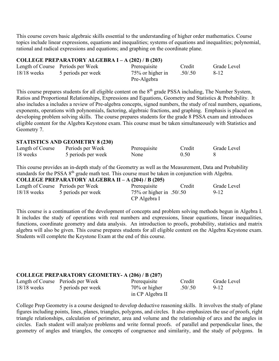This course covers basic algebraic skills essential to the understanding of higher order mathematics. Course topics include linear expressions, equations and inequalities; systems of equations and inequalities; polynomial, rational and radical expressions and equations; and graphing on the coordinate plane.

## **COLLEGE PREPARATORY ALGEBRA I – A (202) / B (203)**

|               | Length of Course Periods per Week | Prerequisite     | Credit  | Grade Level |
|---------------|-----------------------------------|------------------|---------|-------------|
| $18/18$ weeks | 5 periods per week                | 75% or higher in | .50/.50 | 8-12        |
|               |                                   | Pre-Algebra      |         |             |

This course prepares students for all eligible content on the 8<sup>th</sup> grade PSSA including, The Number System, Ratios and Proportional Relationships, Expressions and Equations, Geometry and Statistics & Probability. It also includes a includes a review of Pre-algebra concepts, signed numbers, the study of real numbers, equations, exponents, operations with polynomials, factoring, algebraic fractions, and graphing. Emphasis is placed on developing problem solving skills. The course prepares students for the grade 8 PSSA exam and introduces eligible content for the Algebra Keystone exam. This course must be taken simultaneously with Statistics and Geometry 7.

#### **STATISTICS AND GEOMETRY 8 (230)**

| Length of Course | Periods per Week   | Prerequisite | Credit | Grade Level |
|------------------|--------------------|--------------|--------|-------------|
| 18 weeks         | 5 periods per week | None         | 0.50   |             |

This course provides an in-depth study of the Geometry as well as the Measurement, Data and Probability standards for the PSSA 8<sup>th</sup> grade math test. This course must be taken in conjunction with Algebra. **COLLEGE PREPARATORY ALGEBRA II – A (204) / B (205)**

|               | COLLEGE PREPARATORY ALGEBRA II – A $(204)$ / B $(205)$ |                                             |        |             |
|---------------|--------------------------------------------------------|---------------------------------------------|--------|-------------|
|               | Length of Course Periods per Week                      | Prerequisite                                | Credit | Grade Level |
| $18/18$ weeks | 5 periods per week                                     | $75\%$ or higher in .50/.50<br>CP Algebra I |        | $9 - 12$    |

This course is a continuation of the development of concepts and problem solving methods begun in Algebra I. It includes the study of operations with real numbers and expressions, linear equations, linear inequalities, functions, coordinate geometry and data analysis. An introduction to proofs, probability, statistics and matrix algebra will also be given. This course prepares students for all eligible content on the Algebra Keystone exam. Students will complete the Keystone Exam at the end of this course.

# **COLLEGE PREPARATORY GEOMETRY- A (206) / B (207)**

|               | Length of Course Periods per Week | Prerequisite                      | Credit  | Grade Level |
|---------------|-----------------------------------|-----------------------------------|---------|-------------|
| $18/18$ weeks | 5 periods per week                | 70% or higher<br>in CP Algebra II | .50/.50 | $9-12$      |
|               |                                   |                                   |         |             |

College Prep Geometry is a course designed to develop deductive reasoning skills. It involves the study of plane figures including points, lines, planes, triangles, polygons, and circles. It also emphasizes the use of proofs, right triangle relationships, calculation of perimeter, area and volume and the relationship of arcs and the angles in circles. Each student will analyze problems and write formal proofs. of parallel and perpendicular lines, the geometry of angles and triangles, the concepts of congruence and similarity, and the study of polygons. In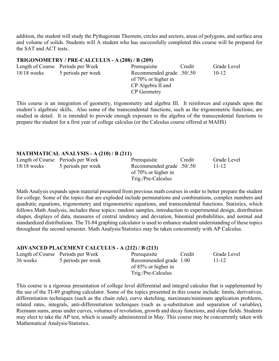addition, the student will study the Pythagorean Theorem, circles and sectors, areas of polygons, and surface area and volume of solids. Students will A student who has successfully completed this course will be prepared for the SAT and ACT tests.

#### **TRIGONOMETRY / PRE-CALCULUS - A (208) / B (209)**

|               | Length of Course Periods per Week | Prerequisite              | Credit | Grade Level |
|---------------|-----------------------------------|---------------------------|--------|-------------|
| $18/18$ weeks | 5 periods per week                | Recommended grade .50/.50 |        | $10-12$     |
|               |                                   | of 70% or higher in       |        |             |
|               |                                   | CP Algebra II and         |        |             |
|               |                                   | CP Geometry               |        |             |

This course is an integration of geometry, trigonometry and algebra III. It reinforces and expands upon the student's algebraic skills. Also some of the transcendental functions, such as the trigonometric functions, are studied in detail. It is intended to provide enough exposure to the algebra of the transcendental functions to prepare the student for a first year of college calculus (or the Calculus course offered at MAHS)

#### **MATHMATICAL ANALYSIS - A (210) / B (211)**

|               | Length of Course Periods per Week | Credit<br>Prerequisite    | Grade Level |
|---------------|-----------------------------------|---------------------------|-------------|
| $18/18$ weeks | 5 periods per week                | Recommended grade .50/.50 | $11 - 12$   |
|               |                                   | of $70\%$ or higher in    |             |
|               |                                   | Trig./Pre-Calculus        |             |

Math Analysis expands upon material presented from previous math courses in order to better prepare the student for college. Some of the topics that are exploded include permutations and combinations, complex numbers and quadratic equations, trigonometry and trigonometric equations, and transcendental functions. Statistics, which follows Math Analysis, includes these topics: random samples, introduction to experimental design, distribution shapes, displays of data, measures of central tendency and deviation, binomial probabilities, and normal and standardized distributions. The TI-84 graphing calculator is used to enhance student understanding of these topics throughout the second semester. Math Analysis/Statistics may be taken concurrently with AP Calculus.

#### **ADVANCED PLACEMENT CALCULUS - A (212) / B (213)**

|          | Length of Course Periods per Week | Prerequisite           | Credit | Grade Level |
|----------|-----------------------------------|------------------------|--------|-------------|
| 36 weeks | 5 periods per week                | Recommended grade 1.00 |        | 11-12       |
|          |                                   | of 85% or higher in    |        |             |
|          |                                   | Trig./Pre-Calculus     |        |             |

This course is a rigorous presentation of college level differential and integral calculus that is supplemented by the use of the TI-89 graphing calculator. Some of the topics presented in this course include: limits, derivatives, differentiation techniques (such as the chain rule), curve sketching, maximum/minimum application problems, related rates, integrals, anti-differentiation techniques (such as u-substitution and separation of variables), Riemann sums, areas under curves, volumes of revolution, growth and decay functions, and slope fields. Students may elect to take the AP test, which is usually administered in May. This course may be concurrently taken with Mathematical Analysis/Statistics.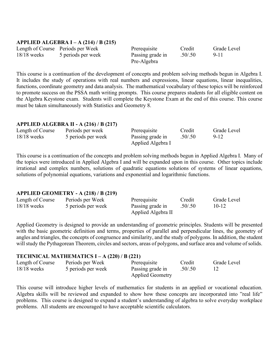#### **APPLIED ALGEBRA I – A (214) / B (215)**

|               | Length of Course Periods per Week | Prerequisite     | Credit  | Grade Level |
|---------------|-----------------------------------|------------------|---------|-------------|
| $18/18$ weeks | 5 periods per week                | Passing grade in | .50/.50 | 9-11        |
|               |                                   | Pre-Algebra      |         |             |

This course is a continuation of the development of concepts and problem solving methods begun in Algebra I. It includes the study of operations with real numbers and expressions, linear equations, linear inequalities, functions, coordinate geometry and data analysis. The mathematical vocabulary of these topics will be reinforced to promote success on the PSSA math writing prompts. This course prepares students for all eligible content on the Algebra Keystone exam. Students will complete the Keystone Exam at the end of this course. This course must be taken simultaneously with Statistics and Geometry 8.

## **APPLIED ALGEBRA II - A (216) / B (217)**

| Length of Course | Periods per week   | Prerequisite      | Credit   | Grade Level |
|------------------|--------------------|-------------------|----------|-------------|
| $18/18$ weeks    | 5 periods per week | Passing grade in  | .50/0.50 | $9 - 12$    |
|                  |                    | Applied Algebra I |          |             |

This course is a continuation of the concepts and problem solving methods begun in Applied Algebra I. Many of the topics were introduced in Applied Algebra I and will be expanded upon in this course. Other topics include irrational and complex numbers, solutions of quadratic equations solutions of systems of linear equations, solutions of polynomial equations, variations and exponential and logarithmic functions.

#### **APPLIED GEOMETRY - A (218) / B (219)**

| Length of Course | Periods per Week   | Prerequisite       | Credit   | Grade Level |
|------------------|--------------------|--------------------|----------|-------------|
| $18/18$ weeks    | 5 periods per week | Passing grade in   | .50/0.50 | $10-12$     |
|                  |                    | Applied Algebra II |          |             |

Applied Geometry is designed to provide an understanding of geometric principles. Students will be presented with the basic geometric definition and terms, properties of parallel and perpendicular lines, the geometry of angles and triangles, the concepts of congruence and similarity, and the study of polygons. In addition, the student will study the Pythagorean Theorem, circles and sectors, areas of polygons, and surface area and volume of solids.

| TECHNICAL MATHEMATICS I – A $(220)$ / B $(221)$ |                                        |                                                             |                   |             |  |
|-------------------------------------------------|----------------------------------------|-------------------------------------------------------------|-------------------|-------------|--|
| Length of Course<br>$18/18$ weeks               | Periods per Week<br>5 periods per week | Prerequisite<br>Passing grade in<br><b>Applied Geometry</b> | Credit<br>.50/.50 | Grade Level |  |

This course will introduce higher levels of mathematics for students in an applied or vocational education. Algebra skills will be reviewed and expanded to show how these concepts are incorporated into "real life" problems. This course is designed to expand a student's understanding of algebra to solve everyday workplace problems. All students are encouraged to have acceptable scientific calculators.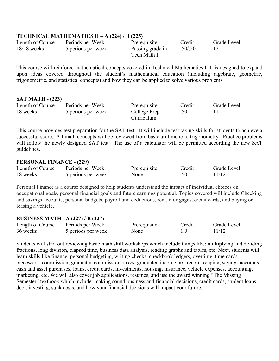## **TECHNICAL MATHEMATICS II – A (224) / B (225)**

| Length of Course | Periods per Week   | Prerequisite     | Credit  | Grade Level |
|------------------|--------------------|------------------|---------|-------------|
| $18/18$ weeks    | 5 periods per week | Passing grade in | .50/.50 |             |
|                  |                    | Tech Math I      |         |             |

This course will reinforce mathematical concepts covered in Technical Mathematics I. It is designed to expand upon ideas covered throughout the student's mathematical education (including algebraic, geometric, trigonometric, and statistical concepts) and how they can be applied to solve various problems.

#### **SAT MATH - (223)**

| Length of Course | Periods per Week   | Prerequisite | Credit | Grade Level |
|------------------|--------------------|--------------|--------|-------------|
| 18 weeks         | 5 periods per week | College Prep |        |             |
|                  |                    | Curriculum   |        |             |

This course provides test preparation for the SAT test. It will include test taking skills for students to achieve a successful score. All math concepts will be reviewed from basic arithmetic to trigonometry. Practice problems will follow the newly designed SAT test. The use of a calculator will be permitted according the new SAT guidelines.

#### **PERSONAL FINANCE - (229)**

| Length of Course | Periods per Week   | Prerequisite | Credit | Grade Level |
|------------------|--------------------|--------------|--------|-------------|
| 18 weeks         | 5 periods per week | None         |        | 11/12       |

Personal Finance is a course designed to help students understand the impact of individual choices on occupational goals, personal financial goals and future earnings potential. Topics covered will include Checking and savings accounts, personal budgets, payroll and deductions, rent, mortgages, credit cards, and buying or leasing a vehicle.

#### **BUSINESS MATH - A (227) / B (227)**

| Length of Course | Periods per Week   | Prerequisite | Credit | Grade Level |
|------------------|--------------------|--------------|--------|-------------|
| 36 weeks         | 5 periods per week | None         |        | 11/12       |

Students will start out reviewing basic math skill workshops which include things like: multiplying and dividing fractions, long division, elapsed time, business data analysis, reading graphs and tables, etc. Next, students will learn skills like finance, personal budgeting, writing checks, checkbook ledgers, overtime, time cards, piecework, commission, graduated commission, taxes, graduated income tax, record keeping, savings accounts, cash and asset purchases, loans, credit cards, investments, housing, insurance, vehicle expenses, accounting, marketing, etc. We will also cover job applications, resumes, and use the award winning "The Missing Semester" textbook which include: making sound business and financial decisions, credit cards, student loans, debt, investing, sunk costs, and how your financial decisions will impact your future.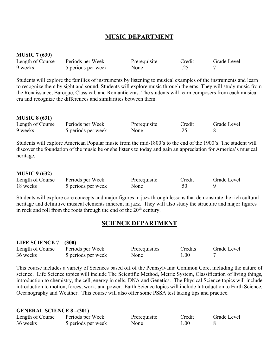# **MUSIC DEPARTMENT**

#### **MUSIC 7 (630)**

| Length of Course | Periods per Week   | Prerequisite | Credit | Grade Level |
|------------------|--------------------|--------------|--------|-------------|
| 9 weeks          | 5 periods per week | None         |        |             |

Students will explore the families of instruments by listening to musical examples of the instruments and learn to recognize them by sight and sound. Students will explore music through the eras. They will study music from the Renaissance, Baroque, Classical, and Romantic eras. The students will learn composers from each musical era and recognize the differences and similarities between them.

#### **MUSIC 8 (631)**

| Length of Course | Periods per Week   | Prerequisite | Credit | Grade Level |
|------------------|--------------------|--------------|--------|-------------|
| 9 weeks          | 5 periods per week | None         | .25    |             |

Students will explore American Popular music from the mid-1800's to the end of the 1900's. The student will discover the foundation of the music he or she listens to today and gain an appreciation for America's musical heritage.

#### **MUSIC 9 (632)**

| Length of Course | Periods per Week   | Prerequisite | Credit | Grade Level |
|------------------|--------------------|--------------|--------|-------------|
| 18 weeks         | 5 periods per week | None         | .50    |             |

Students will explore core concepts and major figures in jazz through lessons that demonstrate the rich cultural heritage and definitive musical elements inherent in jazz. They will also study the structure and major figures in rock and roll from the roots through the end of the  $20<sup>th</sup>$  century.

## **SCIENCE DEPARTMENT**

#### **LIFE SCIENCE 7 – (300)**

| Length of Course | Periods per Week   | Prerequisites | Credits | Grade Level |
|------------------|--------------------|---------------|---------|-------------|
| 36 weeks         | 5 periods per week | None          | l.00    |             |

This course includes a variety of Sciences based off of the Pennsylvania Common Core, including the nature of science. Life Science topics will include The Scientific Method, Metric System, Classification of living things, introduction to chemistry, the cell, energy in cells, DNA and Genetics. The Physical Science topics will include introduction to motion, forces, work, and power. Earth Science topics will include Introduction to Earth Science, Oceanography and Weather. This course will also offer some PSSA test taking tips and practice.

#### **GENERAL SCIENCE 8 –(301)**

| Length of Course | Periods per Week   | Prerequisite | Credit | Grade Level |
|------------------|--------------------|--------------|--------|-------------|
| 36 weeks         | 5 periods per week | None         | 1.00   |             |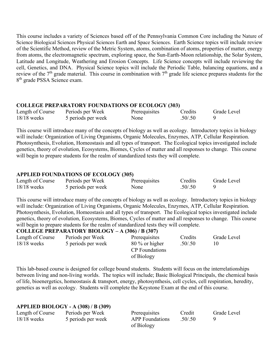This course includes a variety of Sciences based off of the Pennsylvania Common Core including the Nature of Science Biological Sciences Physical Sciences Earth and Space Sciences. Earth Science topics will include review of the Scientific Method, review of the Metric System, atoms, combination of atoms, properties of matter, energy from atoms, the electromagnetic spectrum, exploring space, the Sun-Earth-Moon relationship, the Solar System, Latitude and Longitude, Weathering and Erosion Concepts. Life Science concepts will include reviewing the cell, Genetics, and DNA. Physical Science topics will include the Periodic Table, balancing equations, and a review of the  $7<sup>th</sup>$  grade material. This course in combination with  $7<sup>th</sup>$  grade life science prepares students for the 8<sup>th</sup> grade PSSA Science exam.

## **COLLEGE PREPARATORY FOUNDATIONS OF ECOLOGY (303)**

| Length of Course | Periods per Week   | Prerequisites | Credits  | Grade Level |
|------------------|--------------------|---------------|----------|-------------|
| $18/18$ weeks    | 5 periods per week | None          | .50/0.50 |             |

This course will introduce many of the concepts of biology as well as ecology. Introductory topics in biology will include: Organization of Living Organisms, Organic Molecules, Enzymes, ATP, Cellular Respiration. Photosynthesis, Evolution, Homeostasis and all types of transport. The Ecological topics investigated include genetics, theory of evolution, Ecosystems, Biomes, Cycles of matter and all responses to change. This course will begin to prepare students for the realm of standardized tests they will complete.

# **APPLIED FOUNDATIONS OF ECOLOGY (305)**

**APPLIED BIOLOGY - A (308) / B (309)**

| Length of Course | Periods per Week   | Prerequisites | Credits | Grade Level |
|------------------|--------------------|---------------|---------|-------------|
| $18/18$ weeks    | 5 periods per week | None          | .50/.50 |             |

This course will introduce many of the concepts of biology as well as ecology. Introductory topics in biology will include: Organization of Living Organisms, Organic Molecules, Enzymes, ATP, Cellular Respiration. Photosynthesis, Evolution, Homeostasis and all types of transport. The Ecological topics investigated include genetics, theory of evolution, Ecosystems, Biomes, Cycles of matter and all responses to change. This course will begin to prepare students for the realm of standardized tests they will complete.

#### **COLLEGE PREPARATORY BIOLOGY – A (306) / B (307)**

| Length of Course | Periods per Week   | Prerequisites         | Credits | Grade Level |
|------------------|--------------------|-----------------------|---------|-------------|
| $18/18$ weeks    | 5 periods per week | $80\%$ or higher      | .50/.50 | 10          |
|                  |                    | <b>CP</b> Foundations |         |             |
|                  |                    | of Biology            |         |             |

This lab-based course is designed for college bound students. Students will focus on the interrelationships between living and non-living worlds. The topics will include; Basic Biological Principals, the chemical basis of life, bioenergetics, homeostasis & transport, energy, photosynthesis, cell cycles, cell respiration, heredity, genetics as well as ecology. Students will complete the Keystone Exam at the end of this course.

| $APPLIED BIOLOGY - A (308)/B (309)$ |                        |            |             |
|-------------------------------------|------------------------|------------|-------------|
| Periods per Week                    | Prerequisites          | Credit     | Grade Level |
| 5 periods per week                  | <b>APP</b> Foundations | .50/0.50   |             |
|                                     |                        | of Biology |             |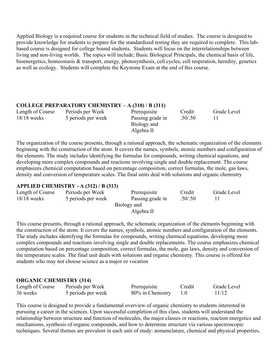Applied Biology is a required course for students in the technical field of studies. The course is designed to provide knowledge for students to prepare for the standardized testing they are required to complete. This labbased course is designed for college bound students. Students will focus on the interrelationships between living and non-living worlds. The topics will include; Basic Biological Principals, the chemical basis of life, bioenergetics, homeostasis & transport, energy, photosynthesis, cell cycles, cell respiration, heredity, genetics as well as ecology. Students will complete the Keystone Exam at the end of this course.

## **COLLEGE PREPARATORY CHEMISTRY – A (310) / B (311)**

Length of Course Periods per Week Prerequisite Credit Grade Level<br>18/18 weeks 5 periods per week Passing grade in .50/.50 11 18/18 weeks 5 periods per week Passing grade in .50/.50 11

Biology and Algebra II

The organization of the course presents, through a rational approach, the schematic organization of the elements beginning with the construction of the atom. It covers the names, symbols, atomic numbers and configuration of the elements. The study includes identifying the formulas for compounds, writing chemical equations, and developing more complex compounds and reactions involving single and double replacement. The course emphasizes chemical computation based on percentage composition, correct formulas, the mole, gas laws, density and conversion of temperature scales. The final units deal with solutions and organic chemistry

## **APPLIED CHEMISTRY - A (312) / B (313)**

| Length of Course | Periods per Week   | Prerequisite     | Credit  | Grade Level |
|------------------|--------------------|------------------|---------|-------------|
| $18/18$ weeks    | 5 periods per week | Passing grade in | .50/.50 |             |
|                  |                    | Biology and      |         |             |
|                  |                    | Algebra II       |         |             |

This course presents, through a rational approach, the schematic organization of the elements beginning with the construction of the atom. It covers the names, symbols, atomic numbers and configuration of the elements. The study includes identifying the formulas for compounds, writing chemical equations, developing more complex compounds and reactions involving single and double replacements. The course emphasizes chemical computation based on percentage composition, correct formulas, the mole, gas laws, density and conversion of the temperature scales. The final unit deals with solutions and organic chemistry. This course is offered for students who may not choose science as a major or vocation

## **ORGANIC CHEMISTRY (314)**

| Length of Course | Periods per Week   | Prerequisite     | Credit | Grade Level |
|------------------|--------------------|------------------|--------|-------------|
| 36 weeks         | 5 periods per week | 80% in Chemistry |        | 11/12       |

This course is designed to provide a fundamental overview of organic chemistry to students interested in pursuing a career in the sciences. Upon successful completion of this class, students will understand the relationship between structure and function of molecules, the major classes or reactions, reaction energetics and mechanisms, synthesis of organic compounds, and how to determine structure via various spectroscopic techniques. Several themes are prevalent in each unit of study: nomenclature, chemical and physical properties,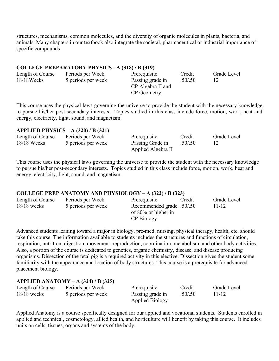structures, mechanisms, common molecules, and the diversity of organic molecules in plants, bacteria, and animals. Many chapters in our textbook also integrate the societal, pharmaceutical or industrial importance of specific compounds

#### **COLLEGE PREPARATORY PHYSICS - A (318) / B (319)**

| Length of Course | Periods per Week   | Prerequisite      | Credit  | Grade Level |
|------------------|--------------------|-------------------|---------|-------------|
| $18/18$ Weeks    | 5 periods per week | Passing grade in  | .50/.50 |             |
|                  |                    | CP Algebra II and |         |             |
|                  |                    | CP Geometry       |         |             |

This course uses the physical laws governing the universe to provide the student with the necessary knowledge to pursue his/her post-secondary interests. Topics studied in this class include force, motion, work, heat and energy, electricity, light, sound, and magnetism.

#### **APPLIED PHYSICS – A (320) / B (321)**

| Length of Course | Periods per Week   | Prerequisite       | Credit  | Grade Level |
|------------------|--------------------|--------------------|---------|-------------|
| $18/18$ Weeks    | 5 periods per week | Passing Grade in   | .50/.50 |             |
|                  |                    | Applied Algebra II |         |             |

This course uses the physical laws governing the universe to provide the student with the necessary knowledge to pursue his/her post-secondary interests. Topics studied in this class include force, motion, work, heat and energy, electricity, light, sound, and magnetism.

#### **COLLEGE PREP ANATOMY AND PHYSIOLOGY – A (322) / B (323)**

| Length of Course | Periods per Week   | Prerequisite<br>Credit    | Grade Level |
|------------------|--------------------|---------------------------|-------------|
| $18/18$ weeks    | 5 periods per week | Recommended grade .50/.50 | 11-12       |
|                  |                    | of $80\%$ or higher in    |             |
|                  |                    | CP Biology                |             |

Advanced students leaning toward a major in biology, pre-med, nursing, physical therapy, health, etc. should take this course. The information available to students includes the structures and functions of circulation, respiration, nutrition, digestion, movement, reproduction, coordination, metabolism, and other body activities. Also, a portion of the course is dedicated to genetics, organic chemistry, disease, and disease producing organisms. Dissection of the fetal pig is a required activity in this elective. Dissection gives the student some familiarity with the appearance and location of body structures. This course is a prerequisite for advanced placement biology.

#### **APPLIED ANATOMY – A (324) / B (325)**

| Length of Course | Periods per Week   | Prerequisite           | Credit   | Grade Level |
|------------------|--------------------|------------------------|----------|-------------|
| $18/18$ weeks    | 5 periods per week | Passing grade in       | .50/0.50 | 11-12       |
|                  |                    | <b>Applied Biology</b> |          |             |

Applied Anatomy is a course specifically designed for our applied and vocational students. Students enrolled in applied and technical, cosmetology, allied health, and horticulture will benefit by taking this course. It includes units on cells, tissues, organs and systems of the body.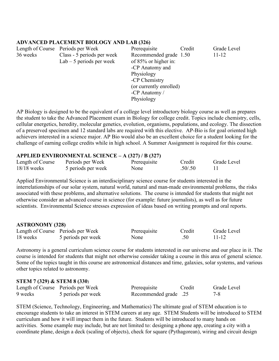## **ADVANCED PLACEMENT BIOLOGY AND LAB (326)**

|          | Length of Course Periods per Week | Prerequisite            | Credit | Grade Level |  |
|----------|-----------------------------------|-------------------------|--------|-------------|--|
| 36 weeks | Class - 5 periods per week        | Recommended grade 1.50  |        | $11 - 12$   |  |
|          | $Lab - 5$ periods per week        | of 85% or higher in:    |        |             |  |
|          |                                   | -CP Anatomy and         |        |             |  |
|          |                                   | Physiology              |        |             |  |
|          |                                   | -CP Chemistry           |        |             |  |
|          |                                   | (or currently enrolled) |        |             |  |
|          |                                   | -CP Anatomy $/$         |        |             |  |
|          |                                   | Physiology              |        |             |  |

AP Biology is designed to be the equivalent of a college level introductory biology course as well as prepares the student to take the Advanced Placement exam in Biology for college credit. Topics include chemistry, cells, cellular energetics, heredity, molecular genetics, evolution, organisms, populations, and ecology. The dissection of a preserved specimen and 12 standard labs are required with this elective. AP-Bio is for goal oriented high achievers interested in a science major. AP Bio would also be an excellent choice for a student looking for the challenge of earning college credits while in high school. A Summer Assignment is required for this course.

## **APPLIED ENVIRONMENTAL SCIENCE – A (327) / B (327)**

|                  | $\frac{1}{100}$    |              |         |             |
|------------------|--------------------|--------------|---------|-------------|
| Length of Course | Periods per Week   | Prerequisite | Credit  | Grade Level |
| $18/18$ weeks    | 5 periods per week | None         | .50/.50 |             |

Applied Environmental Science is an interdisciplinary science course for students interested in the interrelationships of our solar system, natural world, natural and man-made environmental problems, the risks associated with these problems, and alternative solutions. The course is intended for students that might not otherwise consider an advanced course in science (for example: future journalists), as well as for future scientists. Environmental Science stresses expression of ideas based on writing prompts and oral reports.

#### **ASTRONOMY (328)**

|          |                                   |              | Credit | Grade Level |
|----------|-----------------------------------|--------------|--------|-------------|
|          | Length of Course Periods per Week | Prerequisite |        |             |
| 18 weeks | 5 periods per week                | None         | .50    | 11-12       |

Astronomy is a general curriculum science course for students interested in our universe and our place in it. The course is intended for students that might not otherwise consider taking a course in this area of general science. Some of the topics taught in this course are astronomical distances and time, galaxies, solar systems, and various other topics related to astronomy.

#### **STEM 7 (329) & STEM 8 (330**)

|         | Length of Course Periods per Week | Prerequisite          | Credit | Grade Level |
|---------|-----------------------------------|-----------------------|--------|-------------|
| 9 weeks | 5 periods per week                | 25. Recommended grade |        | 7-8         |

STEM (Science, Technology, Engineering, and Mathematics) The ultimate goal of STEM education is to encourage students to take an interest in STEM careers at any age. STEM Students will be introduced to STEM curriculum and how it will impact them in the future. Students will be introduced to many hands on activities. Some example may include, but are not limited to: designing a phone app, creating a city with a coordinate plane, design a deck (scaling of objects), check for square (Pythagorean), wiring and circuit design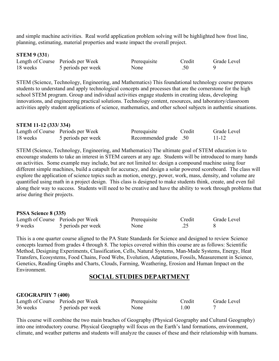and simple machine activities. Real world application problem solving will be highlighted how frost line, planning, estimating, material properties and waste impact the overall project.

#### **STEM 9 (331**)

|          | Length of Course Periods per Week | Prerequisite | Credit | Grade Level |
|----------|-----------------------------------|--------------|--------|-------------|
| 18 weeks | 5 periods per week                | None         | .50    |             |

STEM (Science, Technology, Engineering, and Mathematics) This foundational technology course prepares students to understand and apply technological concepts and processes that are the cornerstone for the high school STEM program. Group and individual activities engage students in creating ideas, developing innovations, and engineering practical solutions. Technology content, resources, and laboratory/classroom activities apply student applications of science, mathematics, and other school subjects in authentic situations.

#### **STEM 11-12 (333/ 334)**

|          | Length of Course Periods per Week | Prerequisite          | Credit | Grade Level |
|----------|-----------------------------------|-----------------------|--------|-------------|
| 18 weeks | 5 periods per week                | Recommended grade .50 |        | $11 - 12$   |

STEM (Science, Technology, Engineering, and Mathematics) The ultimate goal of STEM education is to encourage students to take an interest in STEM careers at any age. Students will be introduced to many hands on activities. Some example may include, but are not limited to: design a compound machine using four different simple machines, build a catapult for accuracy, and design a solar powered scoreboard. The class will explore the application of science topics such as motion, energy, power, work, mass, density, and volume are quantified using math in a project design. This class is designed to make students think, create, and even fail along their way to success. Students will need to be creative and have the ability to work through problems that arise during their projects.

#### **PSSA Science 8 (335)**

|         | Length of Course Periods per Week | Prerequisite | Credit | Grade Level |
|---------|-----------------------------------|--------------|--------|-------------|
| 9 weeks | 5 periods per week                | None         | ـ _    |             |

This is a one quarter course aligned to the PA State Standards for Science and designed to review Science concepts learned from grades 4 through 8. The topics covered within this course are as follows: Scientific Method, Designing Experiments, Classification, Cells, Natural Systems, Man-Made Systems, Energy, Heat Transfers, Ecosystems, Food Chains, Food Webs, Evolution, Adaptations, Fossils, Measurement in Science, Genetics, Reading Graphs and Charts, Clouds, Farming, Weathering, Erosion and Human Impact on the Environment.

# **SOCIAL STUDIES DEPARTMENT**

#### **GEOGRAPHY 7 (400)**

|          | Length of Course Periods per Week | Prerequisite | Credit | Grade Level |
|----------|-----------------------------------|--------------|--------|-------------|
| 36 weeks | 5 periods per week                | None         | .00.   |             |

This course will combine the two main braches of Geography (Physical Geography and Cultural Geography) into one introductory course. Physical Geography will focus on the Earth's land formations, environment, climate, and weather patterns and students will analyze the causes of these and their relationship with humans.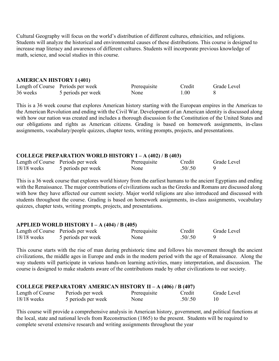Cultural Geography will focus on the world's distribution of different cultures, ethnicities, and religions. Students will analyze the historical and environmental causes of these distributions. This course is designed to increase map literacy and awareness of different cultures. Students will incorporate previous knowledge of math, science, and social studies in this course.

#### **AMERICAN HISTORY I (401)**

|          | Length of Course Periods per week | Prerequisite | Credit | Grade Level |
|----------|-----------------------------------|--------------|--------|-------------|
| 36 weeks | 5 periods per week                | None         | 1.00   |             |

This is a 36 week course that explores American history starting with the European empires in the Americas to the American Revolution and ending with the Civil War. Development of an American identity is discussed along with how our nation was created and includes a thorough discussion fo the Constitution of the United States and our obligations and rights as American citizens. Grading is based on homework assignments, in-class assignments, vocabulary/people quizzes, chapter tests, writing prompts, projects, and presentations.

## **COLLEGE PREPARATION WORLD HISTORY I – A (402) / B (403)**

|               | Length of Course Periods per week | Prerequisite | Credit   | Grade Level |
|---------------|-----------------------------------|--------------|----------|-------------|
| $18/18$ weeks | 5 periods per week                | None         | .50/0.50 |             |

This is a 36 week course that explores world history from the earliest humans to the ancient Egyptians and ending with the Renaissance. The major contributions of civilizations such as the Greeks and Romans are discussed along with how they have affected our current society. Major world religions are also introduced and discussed with students throughout the course. Grading is based on homework assignments, in-class assignments, vocabulary quizzes, chapter tests, writing prompts, projects, and presentations.

#### **APPLIED WORLD HISTORY I – A (404) / B (405)**

|               | Length of Course Periods per week | Prerequisite | Credit  | Grade Level |
|---------------|-----------------------------------|--------------|---------|-------------|
| $18/18$ weeks | 5 periods per week                | None         | .50/.50 |             |

This course starts with the rise of man during prehistoric time and follows his movement through the ancient civilizations, the middle ages in Europe and ends in the modern period with the age of Renaissance. Along the way students will participate in various hands-on learning activities, many interpretation, and discussion. The course is designed to make students aware of the contributions made by other civilizations to our society.

| <b>COLLEGE PREPARATORY AMERICAN HISTORY II – A (406) / B (407)</b> |                    |              |         |                          |  |
|--------------------------------------------------------------------|--------------------|--------------|---------|--------------------------|--|
| Length of Course                                                   | Periods per week   | Prerequisite | Credit  | Grade Level              |  |
| $18/18$ weeks                                                      | 5 periods per week | None         | .50/.50 | $\mathbf{I}(\mathbf{I})$ |  |

This course will provide a comprehensive analysis in American history, government, and political functions at the local, state and national levels from Reconstruction (1865) to the present. Students will be required to complete several extensive research and writing assignments throughout the year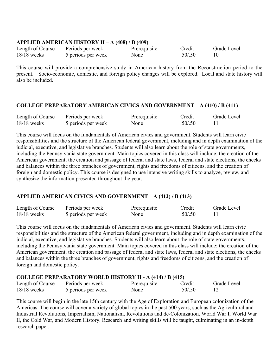#### **APPLIED AMERICAN HISTORY II – A (408) / B (409)**

| Length of Course | Periods per week   | Prerequisite | Credit  | Grade Level |
|------------------|--------------------|--------------|---------|-------------|
| $18/18$ weeks    | 5 periods per week | None         | .50/.50 |             |

This course will provide a comprehensive study in American history from the Reconstruction period to the present. Socio-economic, domestic, and foreign policy changes will be explored. Local and state history will also be included.

## **COLLEGE PREPARATORY AMERICAN CIVICS AND GOVERNMENT – A (410) / B (411)**

| Length of Course | Periods per week   | Prerequisite | Credit  | Grade Level |
|------------------|--------------------|--------------|---------|-------------|
| $18/18$ weeks    | 5 periods per week | None         | .50/.50 |             |

This course will focus on the fundamentals of American civics and government. Students will learn civic responsibilities and the structure of the American federal government, including and in depth examination of the judicial, executive, and legislative branches. Students will also learn about the role of state governments, including the Pennsylvania state government. Main topics covered in this class will include: the creation of the American government, the creation and passage of federal and state laws, federal and state elections, the checks and balances within the three branches of government, rights and freedoms of citizens, and the creation of foreign and domestic policy. This course is designed to use intensive writing skills to analyze, review, and synthesize the information presented throughout the year.

# **APPLIED AMERICAN CIVICS AND GOVERNMENT – A (412) / B (413)**

| Length of Course | Periods per week   | Prerequisite | Credit  | Grade Level |
|------------------|--------------------|--------------|---------|-------------|
| $18/18$ weeks    | 5 periods per week | None         | .50/.50 |             |

This course will focus on the fundamentals of American civics and government. Students will learn civic responsibilities and the structure of the American federal government, including and in depth examination of the judicial, executive, and legislative branches. Students will also learn about the role of state governments, including the Pennsylvania state government. Main topics covered in this class will include: the creation of the American government, the creation and passage of federal and state laws, federal and state elections, the checks and balances within the three branches of government, rights and freedoms of citizens, and the creation of foreign and domestic policy.

## **COLLEGE PREPARATORY WORLD HISTORY II - A (414) / B (415)**

| Length of Course | Periods per week   | Prerequisite | Credit  | Grade Level |
|------------------|--------------------|--------------|---------|-------------|
| $18/18$ weeks    | 5 periods per week | None         | .50/.50 |             |

This course will begin in the late 15th century with the Age of Exploration and European colonization of the Americas. The course will cover a variety of global topics in the past 500 years, such as the Agricultural and Industrial Revolutions, Imperialism, Nationalism, Revolutions and de-Colonization, World War I, World War II, the Cold War, and Modern History. Research and writing skills will be taught, culminating in an in-depth research paper.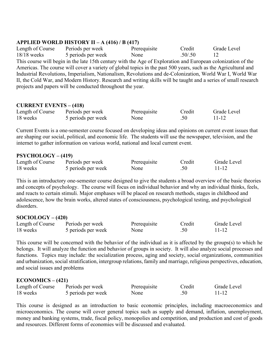## **APPLIED WORLD HISTORY II – A (416) / B (417)**

Length of Course Periods per week Prerequisite Credit Grade Level 18/18 weeks 5 periods per week None .50/.50 12 This course will begin in the late 15th century with the Age of Exploration and European colonization of the Americas. The course will cover a variety of global topics in the past 500 years, such as the Agricultural and Industrial Revolutions, Imperialism, Nationalism, Revolutions and de-Colonization, World War I, World War II, the Cold War, and Modern History. Research and writing skills will be taught and a series of small research projects and papers will be conducted throughout the year.

## **CURRENT EVENTS – (418)**

| Length of Course | Periods per week   | Prerequisite | Credit | Grade Level |
|------------------|--------------------|--------------|--------|-------------|
| 18 weeks         | 5 periods per week | None         |        | 11-12       |

Current Events is a one-semester course focused on developing ideas and opinions on current event issues that are shaping our social, political, and economic life. The students will use the newspaper, television, and the internet to gather information on various world, national and local current event.

## **PSYCHOLOGY – (419)**

| Length of Course | Periods per week   | Prerequisite | Credit | Grade Level |
|------------------|--------------------|--------------|--------|-------------|
| 18 weeks         | 5 periods per week | None         |        | 11-12       |

This is an introductory one-semester course designed to give the students a broad overview of the basic theories and concepts of psychology. The course will focus on individual behavior and why an individual thinks, feels, and reacts to certain stimuli. Major emphases will be placed on research methods, stages in childhood and adolescence, how the brain works, altered states of consciousness, psychological testing, and psychological disorders.

## **SOCIOLOGY – (420)**

| Length of Course | Periods per week   | Prerequisite | Credit | Grade Level |
|------------------|--------------------|--------------|--------|-------------|
| 18 weeks         | 5 periods per week | None         |        | 11-12       |

This course will be concerned with the behavior of the individual as it is affected by the groups(s) to which he belongs. It will analyze the function and behavior of groups in society. It will also analyze social processes and functions. Topics may include: the socialization process, aging and society, social organizations, communities and urbanization, social stratification, intergroup relations, family and marriage, religious perspectives, education, and social issues and problems

## **ECONOMICS – (421)**

| Length of Course | Periods per week   | Prerequisite | Credit | Grade Level |
|------------------|--------------------|--------------|--------|-------------|
| 18 weeks         | 5 periods per week | None         | .50    | $11 - 12$   |

This course is designed as an introduction to basic economic principles, including macroeconomics and microeconomics. The course will cover general topics such as supply and demand, inflation, unemployment, money and banking systems, trade, fiscal policy, monopolies and competition, and production and cost of goods and resources. Different forms of economies will be discussed and evaluated.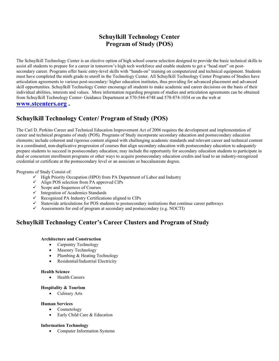# **Schuylkill Technology Center Program of Study (POS)**

The Schuylkill Technology Center is an elective option of high school course selection designed to provide the basic technical skills to assist all students to prepare for a career in tomorrow's high tech workforce and enable students to get a "head start" on postsecondary career. Programs offer basic entry-level skills with "hands-on" training on computerized and technical equipment. Students must have completed the ninth grade to enroll in the Technology Center. All Schuylkill Technology Center Programs of Studies have articulation agreements to various post-secondary/ higher education institutes, thus providing for advanced placement and advanced skill opportunities. Schuylkill Technology Center encourage all students to make academic and career decisions on the basis of their individual abilities, interests and values. More information regarding program of studies and articulation agreements can be obtained from Schuylkill Technology Center- Guidance Department at 570-544-4748 and 570-874-1034 or on the web at

#### **[www.stcenters.org](http://www.stcenters.org/) .**

# **Schuylkill Technology Center/ Program of Study (POS)**

The Carl D. Perkins Career and Technical Education Improvement Act of 2006 requires the development and implementation of career and technical programs of study (POS). Programs of Study incorporate secondary education and postsecondary education elements; include coherent and rigorous content aligned with challenging academic standards and relevant career and technical content in a coordinated, non-duplicative progression of courses that align secondary education with postsecondary education to adequately prepare students to succeed in postsecondary education; may include the opportunity for secondary education students to participate in dual or concurrent enrollment programs or other ways to acquire postsecondary education credits and lead to an industry-recognized credential or certificate at the postsecondary level or an associate or baccalaureate degree.

#### Programs of Study Consist of:

- $\checkmark$  High Priority Occupation (HPO) from PA Department of Labor and Industry
- $\checkmark$  Align POS selection from PA approved CIPs
- $\checkmark$  Scope and Sequences of Courses
- $\checkmark$  Integration of Academics Standards
- $\checkmark$  Recognized PA Industry Certifications aligned to CIPs
- $\checkmark$  Statewide articulations for POS students to postsecondary institutions that continue career pathways
- $\checkmark$  Assessments for end of program at secondary and postsecondary (e.g. NOCTI)

# **Schuylkill Technology Center's Career Clusters and Program of Study**

#### **Architecture and Construction**

- Carpentry Technology
- Masonry Technology
- Plumbing & Heating Technology
- Residential/Industrial Electricity

#### **Health Science**

• Health Careers

#### **Hospitality & Tourism**

• Culinary Arts

#### **Human Services**

- Cosmetology
- Early Child Care & Education

#### **Information Technology**

• Computer Information Systems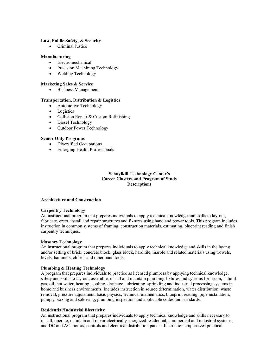#### **Law, Public Safety, & Security**

• Criminal Justice

#### **Manufacturing**

- Electromechanical
- Precision Machining Technology
- Welding Technology

#### **Marketing Sales & Service**

• Business Management

#### **Transportation, Distribution & Logistics**

- Automotive Technology
- Logistics
- Collision Repair & Custom Refinishing
- Diesel Technology
- Outdoor Power Technology

#### **Senior Only Programs**

- Diversified Occupations
- Emerging Health Professionals

#### **Schuylkill Technology Center's Career Clusters and Program of Study Descriptions**

#### **Architecture and Construction**

#### **Carpentry Technology**

An instructional program that prepares individuals to apply technical knowledge and skills to lay-out, fabricate, erect, install and repair structures and fixtures using hand and power tools. This program includes instruction in common systems of framing, construction materials, estimating, blueprint reading and finish carpentry techniques.

#### M**asonry Technology**

An instructional program that prepares individuals to apply technical knowledge and skills in the laying and/or setting of brick, concrete block, glass block, hard tile, marble and related materials using trowels, levels, hammers, chisels and other hand tools.

#### **Plumbing & Heating Technology**

A program that prepares individuals to practice as licensed plumbers by applying technical knowledge, safety and skills to lay out, assemble, install and maintain plumbing fixtures and systems for steam, natural gas, oil, hot water, heating, cooling, drainage, lubricating, sprinkling and industrial processing systems in home and business environments. Includes instruction in source determination, water distribution, waste removal, pressure adjustment, basic physics, technical mathematics, blueprint reading, pipe installation, pumps, brazing and soldering, plumbing inspection and applicable codes and standards.

#### **Residential/Industrial Electricity**

An instructional program that prepares individuals to apply technical knowledge and skills necessary to install, operate, maintain and repair electrically-energized residential, commercial and industrial systems, and DC and AC motors, controls and electrical distribution panels. Instruction emphasizes practical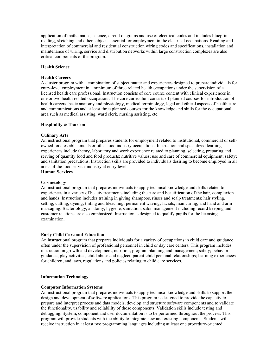application of mathematics, science, circuit diagrams and use of electrical codes and includes blueprint reading, sketching and other subjects essential for employment in the electrical occupations. Reading and interpretation of commercial and residential construction wiring codes and specifications, installation and maintenance of wiring, service and distribution networks within large construction complexes are also critical components of the program.

#### **Health Science**

#### **Health Careers**

A cluster program with a combination of subject matter and experiences designed to prepare individuals for entry-level employment in a minimum of three related health occupations under the supervision of a licensed health care professional. Instruction consists of core course content with clinical experiences in one or two health related occupations. The core curriculum consists of planned courses for introduction of health careers, basic anatomy and physiology, medical terminology, legal and ethical aspects of health care and communications and at least three planned courses for the knowledge and skills for the occupational area such as medical assisting, ward clerk, nursing assisting, etc.

#### **Hospitality & Tourism**

#### **Culinary Arts**

An instructional program that prepares students for employment related to institutional, commercial or selfowned food establishments or other food industry occupations. Instruction and specialized learning experiences include theory, laboratory and work experience related to planning, selecting, preparing and serving of quantity food and food products; nutritive values; use and care of commercial equipment; safety; and sanitation precautions. Instruction skills are provided to individuals desiring to become employed in all areas of the food service industry at entry level.

**Human Services**

#### **Cosmetology**

An instructional program that prepares individuals to apply technical knowledge and skills related to experiences in a variety of beauty treatments including the care and beautification of the hair, complexion and hands. Instruction includes training in giving shampoos, rinses and scalp treatments; hair styling, setting, cutting, dyeing, tinting and bleaching; permanent waving; facials; manicuring; and hand and arm massaging. Bacteriology, anatomy, hygiene, sanitation, salon management including record keeping and customer relations are also emphasized. Instruction is designed to qualify pupils for the licensing examination.

#### **Early Child Care and Education**

An instructional program that prepares individuals for a variety of occupations in child care and guidance often under the supervision of professional personnel in child or day care centers. This program includes instruction in growth and development; nutrition; program planning and management; safety; behavior guidance; play activities; child abuse and neglect; parent-child personal relationships; learning experiences for children; and laws, regulations and policies relating to child care services.

#### **Information Technology**

#### **Computer Information Systems**

An instructional program that prepares individuals to apply technical knowledge and skills to support the design and development of software applications. This program is designed to provide the capacity to prepare and interpret process and data models, develop and structure software components and to validate the functionality, usability and reliability of those components. Validation skills include testing and debugging. System, component and user documentation is to be performed throughout the process. This program will provide students with the ability to integrate new and existing components. Students will receive instruction in at least two programming languages including at least one procedure-oriented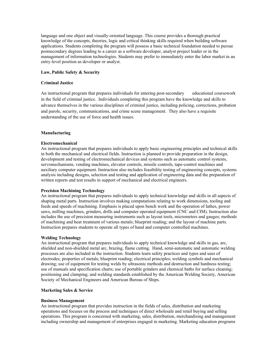language and one object and visually-oriented language. This course provides a thorough practical knowledge of the concepts, theories, logic and critical thinking skills required when building software applications. Students completing the program will possess a basic technical foundation needed to pursue postsecondary degrees leading to a career as a software developer, analyst project leader or in the management of information technologies. Students may prefer to immediately enter the labor market in an entry-level position as developer or analyst.

#### **Law, Public Safety & Security**

#### **Criminal Justice**

An instructional program that prepares individuals for entering post-secondary educational coursework in the field of criminal justice. Individuals completing this program have the knowledge and skills to advance themselves in the various disciplines of criminal justice, including policing, corrections, probation and parole, security, communications, and crime scene management. They also have a requisite understanding of the use of force and health issues.

#### **Manufacturing**

#### **Electromechanical**

An instructional program that prepares individuals to apply basic engineering principles and technical skills in both the mechanical and electrical fields. Instruction is planned to provide preparation in the design, development and testing of electromechanical devices and systems such as automatic control systems, servomechanisms, vending machines, elevator controls, missile controls, tape-control machines and auxiliary computer equipment. Instruction also includes feasibility testing of engineering concepts, systems analysis including designs, selection and testing and application of engineering data and the preparation of written reports and test results in support of mechanical and electrical engineers.

#### **Precision Machining Technology**

An instructional program that prepares individuals to apply technical knowledge and skills in all aspects of shaping metal parts. Instruction involves making computations relating to work dimensions, tooling and feeds and speeds of machining. Emphasis is placed upon bench work and the operation of lathes, power saws, milling machines, grinders, drills and computer operated equipment (CNC and CIM). Instruction also includes the use of precision measuring instruments such as layout tools, micrometers and gauges; methods of machining and heat treatment of various metals; blueprint reading; and the layout of machine parts. Instruction prepares students to operate all types of hand and computer controlled machines.

#### **Welding Technology**

An instructional program that prepares individuals to apply technical knowledge and skills in gas, arc, shielded and non-shielded metal arc, brazing, flame cutting. Hand, semi-automatic and automatic welding processes are also included in the instruction. Students learn safety practices and types and uses of electrodes; properties of metals; blueprint reading; electrical principles; welding symbols and mechanical drawing; use of equipment for testing welds by ultrasonic methods and destruction and hardness testing; use of manuals and specification charts; use of portable grinders and chemical baths for surface cleaning; positioning and clamping; and welding standards established by the American Welding Society, American Society of Mechanical Engineers and American Bureau of Ships.

#### **Marketing Sales & Service**

#### **Business Management**

An instructional program that provides instruction in the fields of sales, distribution and marketing operations and focuses on the process and techniques of direct wholesale and retail buying and selling operations. This program is concerned with marketing, sales, distribution, merchandising and management including ownership and management of enterprises engaged in marketing. Marketing education programs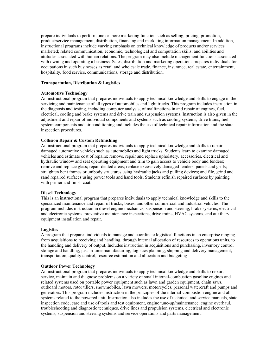prepare individuals to perform one or more marketing function such as selling, pricing, promotion, product/service management, distribution, financing and marketing information management. In addition, instructional programs include varying emphasis on technical knowledge of products and/or services marketed; related communication, economic, technological and computation skills; and abilities and attitudes associated with human relations. The program may also include management functions associated with owning and operating a business. Sales, distribution and marketing operations prepares individuals for occupations in such businesses as retail and wholesale trade, finance, insurance, real estate, entertainment, hospitality, food service, communications, storage and distribution.

#### **Transportation, Distribution & Logistics**

#### **Automotive Technology**

An instructional program that prepares individuals to apply technical knowledge and skills to engage in the servicing and maintenance of all types of automobiles and light trucks. This program includes instruction in the diagnosis and testing, including computer analysis, of malfunctions in and repair of engines, fuel, electrical, cooling and brake systems and drive train and suspension systems. Instruction is also given in the adjustment and repair of individual components and systems such as cooling systems, drive trains, fuel system components and air conditioning and includes the use of technical repair information and the state inspection procedures.

#### **Collision Repair & Custom Refinishing**

An instructional program that prepares individuals to apply technical knowledge and skills to repair damaged automotive vehicles such as automobiles and light trucks. Students learn to examine damaged vehicles and estimate cost of repairs; remove, repair and replace upholstery, accessories, electrical and hydraulic window and seat operating equipment and trim to gain access to vehicle body and fenders; remove and replace glass; repair dented areas; replace excessively damaged fenders, panels and grills; straighten bent frames or unibody structures using hydraulic jacks and pulling devices; and file, grind and sand repaired surfaces using power tools and hand tools. Students refinish repaired surfaces by painting with primer and finish coat.

#### **Diesel Technology**

This is an instructional program that prepares individuals to apply technical knowledge and skills to the specialized maintenance and repair of trucks, buses, and other commercial and industrial vehicles. The program includes instruction in diesel engine mechanics, suspension and steering, brake systems, electrical and electronic systems, preventive maintenance inspections, drive trains, HVAC systems, and auxiliary equipment installation and repair.

#### **Logistics**

A program that prepares individuals to manage and coordinate logistical functions in an enterprise ranging from acquisitions to receiving and handling, through internal allocation of resources to operations units, to the handling and delivery of output. Includes instruction in acquisitions and purchasing, inventory control storage and handling, just-in-time manufacturing, logistics planning, shipping and delivery management, transportation, quality control, resource estimation and allocation and budgeting

#### **Outdoor Power Technology**

An instructional program that prepares individuals to apply technical knowledge and skills to repair, service, maintain and diagnose problems on a variety of small internal-combustion gasoline engines and related systems used on portable power equipment such as lawn and garden equipment, chain saws, outboard motors, rotor tillers, snowmobiles, lawn mowers, motorcycles, personal watercraft and pumps and generators. This program includes instruction in the principles of the internal-combustion engine and all systems related to the powered unit. Instruction also includes the use of technical and service manuals, state inspection code, care and use of tools and test equipment, engine tune-up/maintenance, engine overhaul, troubleshooting and diagnostic techniques, drive lines and propulsion systems, electrical and electronic systems, suspension and steering systems and service operations and parts management.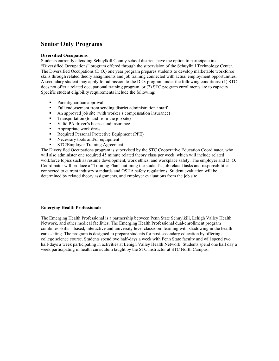# **Senior Only Programs**

#### **Diversified Occupations**

Students currently attending Schuylkill County school districts have the option to participate in a "Diversified Occupations" program offered through the supervision of the Schuylkill Technology Center. The Diversified Occupations (D.O.) one year program prepares students to develop marketable workforce skills through related theory assignments and job training connected with actual employment opportunities. A secondary student may apply for admission to the D.O. program under the following conditions: (1) STC does not offer a related occupational training program, or (2) STC program enrollments are to capacity. Specific student eligibility requirements include the following:

- Parent/guardian approval
- Full endorsement from sending district administration / staff
- An approved job site (with worker's compensation insurance)
- **Transportation** (to and from the job site)
- Valid PA driver's license and insurance
- **Appropriate work dress**
- Required Personal Protective Equipment (PPE)
- Necessary tools and/or equipment
- STC/Employer Training Agreement

The Diversified Occupations program is supervised by the STC Cooperative Education Coordinator, who will also administer one required 45 minute related theory class per week, which will include related workforce topics such as resume development, work ethics, and workplace safety. The employer and D. O. Coordinator will produce a "Training Plan" outlining the student's job related tasks and responsibilities connected to current industry standards and OSHA safety regulations. Student evaluation will be determined by related theory assignments, and employer evaluations from the job site

#### **Emerging Health Professionals**

The Emerging Health Professional is a partnership between Penn State Schuylkill, Lehigh Valley Health Network, and other medical facilities. The Emerging Health Professional dual-enrollment program combines skills—based, interactive and university level classroom learning with shadowing in the health care setting. The program is designed to prepare students for post-secondary education by offering a college science course. Students spend two half-days a week with Penn State faculty and will spend two half-days a week participating in activities at Lehigh Valley Health Network. Students spend one half day a week participating in health curriculum taught by the STC instructor at STC North Campus.